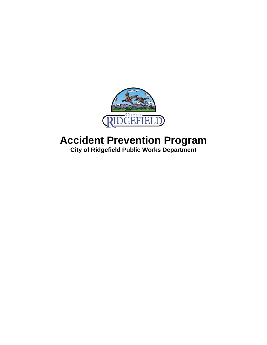

# **Accident Prevention Program**

**City of Ridgefield Public Works Department**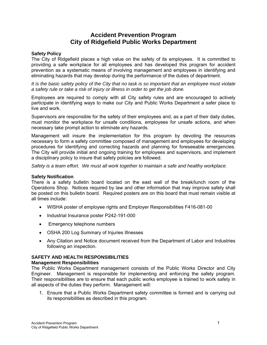### **Accident Prevention Program City of Ridgefield Public Works Department**

### **Safety Policy**

The City of Ridgefield places a high value on the safety of its employees. It is committed to providing a safe workplace for all employees and has developed this program for accident prevention as a systematic means of involving management and employees in identifying and eliminating hazards that may develop during the performance of the duties of department.

*It is the basic safety policy of the City that no task is so important that an employee must violate a safety rule or take a risk of injury or illness in order to get the job done.* 

Employees are required to comply with all City safety rules and are encouraged to actively participate in identifying ways to make our City and Public Works Department a safer place to live and work.

Supervisors are responsible for the safety of their employees and, as a part of their daily duties, must monitor the workplace for unsafe conditions, employees for unsafe actions, and when necessary take prompt action to eliminate any hazards.

Management will insure the implementation for this program by devoting the resources necessary to form a safety committee composed of management and employees for developing procedures for identifying and correcting hazards and planning for foreseeable emergencies. The City will provide initial and ongoing training for employees and supervisors, and implement a disciplinary policy to insure that safety policies are followed.

*Safety is a team effort. We must all work together to maintain a safe and healthy workplace.*

### **Safety Notification**

There is a safety bulletin board located on the east wall of the break/lunch room of the Operations Shop. Notices required by law and other information that may improve safety shall be posted on this bulletin board. Required posters are on this board that must remain visible at all times include:

- WISHA poster of employee rights and Employer Responsibilities F416-081-00
- Industrial Insurance poster P242-191-000
- Emergency telephone numbers
- OSHA 200 Log Summary of Injuries Illnesses
- Any Citation and Notice document received from the Department of Labor and Industries following an inspection.

# **SAFETY AND HEALTH RESPONSIBILITIES**

**Management Responsibilities** 

The Public Works Department management consists of the Public Works Director and City Engineer. Management is responsible for implementing and enforcing the safety program. Their responsibilities are to ensure that each public works employee is trained to work safety in all aspects of the duties they perform. Management will:

1. Ensure that a Public Works Department safety committee is formed and is carrying out its responsibilities as described in this program.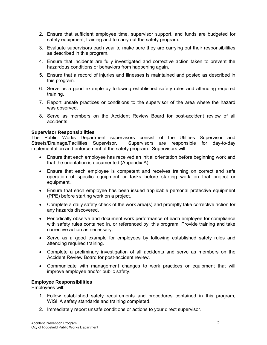- 2. Ensure that sufficient employee time, supervisor support, and funds are budgeted for safety equipment, training and to carry out the safety program.
- 3. Evaluate supervisors each year to make sure they are carrying out their responsibilities as described in this program.
- 4. Ensure that incidents are fully investigated and corrective action taken to prevent the hazardous conditions or behaviors from happening again.
- 5. Ensure that a record of injuries and illnesses is maintained and posted as described in this program.
- 6. Serve as a good example by following established safety rules and attending required training.
- 7. Report unsafe practices or conditions to the supervisor of the area where the hazard was observed.
- 8. Serve as members on the Accident Review Board for post-accident review of all accidents.

### **Supervisor Responsibilities**

The Public Works Department supervisors consist of the Utilities Supervisor and Streets/Drainage/Facilities Supervisor. Supervisors are responsible for day-to-day implementation and enforcement of the safety program. Supervisors will:

- Ensure that each employee has received an initial orientation before beginning work and that the orientation is documented (Appendix A).
- Ensure that each employee is competent and receives training on correct and safe operation of specific equipment or tasks before starting work on that project or equipment.
- Ensure that each employee has been issued applicable personal protective equipment (PPE) before starting work on a project.
- Complete a daily safety check of the work area(s) and promptly take corrective action for any hazards discovered.
- Periodically observe and document work performance of each employee for compliance with safety rules contained in, or referenced by, this program. Provide training and take corrective action as necessary.
- Serve as a good example for employees by following established safety rules and attending required training.
- Complete a preliminary investigation of all accidents and serve as members on the Accident Review Board for post-accident review.
- Communicate with management changes to work practices or equipment that will improve employee and/or public safety.

### **Employee Responsibilities**

Employees will:

- 1. Follow established safety requirements and procedures contained in this program, WISHA safety standards and training completed.
- 2. Immediately report unsafe conditions or actions to your direct supervisor.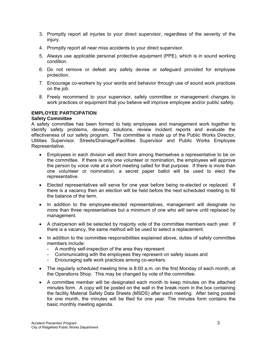- 3. Promptly report all injuries to your direct supervisor, regardless of the severity of the injury.
- 4. Promptly report all near miss accidents to your direct supervisor.
- 5. Always use applicable personal protective equipment (PPE), which is in sound working condition.
- 6. Do not remove or defeat any safety devise or safeguard provided for employee protection.
- 7. Encourage co-workers by your words and behavior through use of sound work practices on the job.
- 8. Freely recommend to your supervisor, safely committee or management changes to work practices or equipment that you believe will improve employee and/or public safety.

### **EMPLOYEE PARTICIPATION**

### **Safety Committee**

A safety committee has been formed to help employees and management work together to identify safety problems, develop solutions, review incident reports and evaluate the effectiveness of our safety program. The committee is made up of the Public Works Director, Utilities Supervisor, Streets/Drainage/Facilities Supervisor and Public Works Employee Representative.

- Employees in each division will elect from among themselves a representative to be on the committee. If there is only one volunteer or nomination, the employees will approve the person by voice vote at a short meeting called for that purpose. If there is more than one volunteer or nomination, a secret paper ballot will be used to elect the representative.
- Elected representatives will serve for one year before being re-elected or replaced. If there is a vacancy then an election will be held before the next scheduled meeting to fill the balance of the term.
- In addition to the employee-elected representatives, management will designate no more than three representatives but a minimum of one who will serve until replaced by management.
- A chairperson will be selected by majority vote of the committee members each year. If there is a vacancy, the same method will be used to select a replacement.
- In addition to the committee responsibilities explained above, duties of safety committee members include:
	- A monthly self-inspection of the area they represent
	- Communicating with the employees they represent on safety issues and
	- Encouraging safe work practices among co-workers.
- The regularly scheduled meeting time is 8:00 a.m. on the first Monday of each month, at the Operations Shop. This may be changed by vote of the committee.
- A committee member will be designated each month to keep minutes on the attached minutes form. A copy will be posted on the wall in the break room in the box containing the facility Material Safety Data Sheets (MSDS) after each meeting. After being posted for one month, the minutes will be filed for one year. The minutes form contains the basic monthly meeting agenda.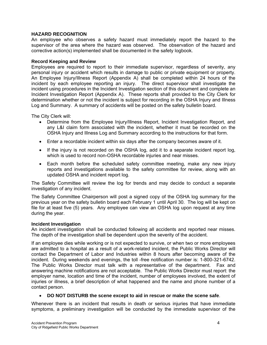### **HAZARD RECOGNITION**

An employee who observes a safety hazard must immediately report the hazard to the supervisor of the area where the hazard was observed. The observation of the hazard and corrective action(s) implemented shall be documented in the safety logbook.

### **Record Keeping and Review**

Employees are required to report to their immediate supervisor, regardless of severity, any personal injury or accident which results in damage to public or private equipment or property. An Employee Injury/Illness Report (Appendix A) shall be completed within 24 hours of the incident by each employee reporting an injury. The direct supervisor shall investigate the incident using procedures in the Incident Investigation section of this document and complete an Incident Investigation Report (Appendix A). These reports shall provided to the City Clerk for determination whether or not the incident is subject for recording in the OSHA Injury and Illness Log and Summary. A summary of accidents will be posted on the safety bulletin board.

The City Clerk will:

- Determine from the Employee Injury/Illness Report, Incident Investigation Report, and any L&I claim form associated with the incident, whether it must be recorded on the OSHA Injury and Illness Log and Summary according to the instructions for that form.
- Enter a recordable incident within six days after the company becomes aware of it.
- If the injury is not recorded on the OSHA log, add it to a separate incident report log, which is used to record non-OSHA recordable injuries and near misses.
- Each month before the scheduled safety committee meeting, make any new injury reports and investigations available to the safety committee for review, along with an updated OSHA and incident report log.

The Safety Committee will review the log for trends and may decide to conduct a separate investigation of any incident.

The Safety Committee Chairperson will post a signed copy of the OSHA log summary for the previous year on the safety bulletin board each February 1 until April 30. The log will be kept on file for at least five (5) years. Any employee can view an OSHA log upon request at any time during the year.

### **Incident Investigation**

An incident investigation shall be conducted following all accidents and reported near misses. The depth of the investigation shall be dependent upon the severity of the accident.

If an employee dies while working or is not expected to survive, or when two or more employees are admitted to a hospital as a result of a work-related incident, the Public Works Director will contact the Department of Labor and Industries within 8 hours after becoming aware of the incident. During weekends and evenings, the toll -free notification number is: 1-800-321-6742. The Public Works Director must talk with a representative of the department. Fax and answering machine notifications are not acceptable. The Public Works Director must report: the employer name, location and time of the incident, number of employees involved, the extent of injuries or illness, a brief description of what happened and the name and phone number of a contact person.

### • **DO NOT DISTURB the scene except to aid in rescue or make the scene safe**.

Whenever there is an incident that results in death or serious injuries that have immediate symptoms, a preliminary investigation will be conducted by the immediate supervisor of the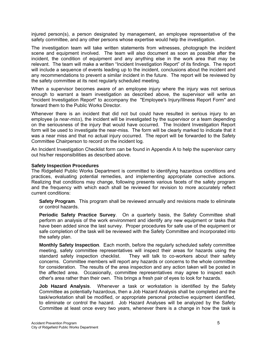injured person(s), a person designated by management, an employee representative of the safety committee, and any other persons whose expertise would help the investigation.

The investigation team will take written statements from witnesses, photograph the incident scene and equipment involved. The team will also document as soon as possible after the incident, the condition of equipment and any anything else in the work area that may be relevant. The team will make a written "Incident Investigation Report" of its findings. The report will include a sequence of events leading up to the incident, conclusions about the incident and any recommendations to prevent a similar incident in the future. The report will be reviewed by the safety committee at its next regularly scheduled meeting.

When a supervisor becomes aware of an employee injury where the injury was not serious enough to warrant a team investigation as described above, the supervisor will write an "Incident Investigation Report" to accompany the "Employee's Injury/Illness Report Form" and forward them to the Public Works Director.

Whenever there is an incident that did not but could have resulted in serious injury to an employee (a *near-miss*), the incident will be investigated by the supervisor or a team depending on the seriousness of the injury that would have occurred. The Incident Investigation Report form will be used to investigate the near-miss. The form will be clearly marked to indicate that it was a near miss and that no actual injury occurred. The report will be forwarded to the Safety Committee Chairperson to record on the incident log.

An Incident Investigation Checklist form can be found in Appendix A to help the supervisor carry out his/her responsibilities as described above.

### **Safety Inspection Procedures**

The Ridgefield Public Works Department is committed to identifying hazardous conditions and practices, evaluating potential remedies, and implementing appropriate corrective actions. Realizing that conditions may change, following presents various facets of the safety program and the frequency with which each shall be reviewed for revision to more accurately reflect current conditions:

**Safety Program**. This program shall be reviewed annually and revisions made to eliminate or control hazards.

**Periodic Safety Practice Survey**. On a quarterly basis, the Safety Committee shall perform an analysis of the work environment and identify any new equipment or tasks that have been added since the last survey. Proper procedures for safe use of the equipment or safe completion of the task will be reviewed with the Safety Committee and incorporated into the safety plan.

**Monthly Safety Inspection**. Each month, before the regularly scheduled safety committee meeting, safety committee representatives will inspect their areas for hazards using the standard safety inspection checklist. They will talk to co-workers about their safety concerns. Committee members will report any hazards or concerns to the whole committee for consideration. The results of the area inspection and any action taken will be posted in the affected area. Occasionally, committee representatives may agree to inspect each other's area rather than their own. This brings a fresh pair of eyes to look for hazards.

**Job Hazard Analysis**. Whenever a task or workstation is identified by the Safety Committee as potentially hazardous, then a Job Hazard Analysis shall be completed and the task/workstation shall be modified, or appropriate personal protective equipment identified, to eliminate or control the hazard. Job Hazard Analyses will be analyzed by the Safety Committee at least once every two years, whenever there is a change in how the task is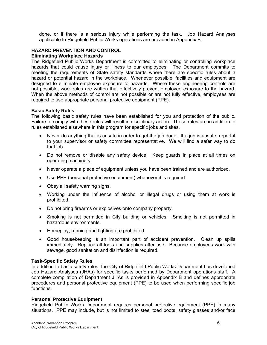done, or if there is a serious injury while performing the task. Job Hazard Analyses applicable to Ridgefield Public Works operations are provided in Appendix B.

### **HAZARD PREVENTION AND CONTROL**

### **Eliminating Workplace Hazards**

The Ridgefield Public Works Department is committed to eliminating or controlling workplace hazards that could cause injury or illness to our employees. The Department commits to meeting the requirements of State safety standards where there are specific rules about a hazard or potential hazard in the workplace. Whenever possible, facilities and equipment are designed to eliminate employee exposure to hazards. Where these engineering controls are not possible, work rules are written that effectively prevent employee exposure to the hazard. When the above methods of control are not possible or are not fully effective, employees are required to use appropriate personal protective equipment (PPE).

### **Basic Safety Rules**

The following basic safety rules have been established for you and protection of the public. Failure to comply with these rules will result in disciplinary action. These rules are in addition to rules established elsewhere in this program for specific jobs and sites.

- Never do anything that is unsafe in order to get the job done. If a job is unsafe, report it to your supervisor or safety committee representative. We will find a safer way to do that job.
- Do not remove or disable any safety device! Keep guards in place at all times on operating machinery.
- Never operate a piece of equipment unless you have been trained and are authorized.
- Use PPE (personal protective equipment) whenever it is required.
- Obey all safety warning signs.
- Working under the influence of alcohol or illegal drugs or using them at work is prohibited.
- Do not bring firearms or explosives onto company property.
- Smoking is not permitted in City building or vehicles. Smoking is not permitted in hazardous environments.
- Horseplay, running and fighting are prohibited.
- Good housekeeping is an important part of accident prevention. Clean up spills immediately. Replace all tools and supplies after use. Because employees work with sewage, good sanitation and disinfection is required.

### **Task-Specific Safety Rules**

In addition to basic safety rules, the City of Ridgefield Public Works Department has developed Job Hazard Analyses (JHAs) for specific tasks performed by Department operations staff. A complete compilation of Department JHAs is provided in Appendix B and defines appropriate procedures and personal protective equipment (PPE) to be used when performing specific job functions.

### **Personal Protective Equipment**

Ridgefield Public Works Department requires personal protective equipment (PPE) in many situations. PPE may include, but is not limited to steel toed boots, safety glasses and/or face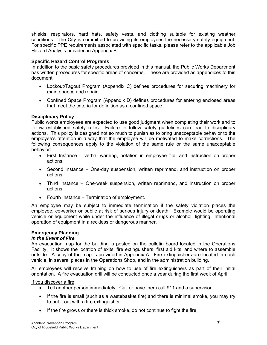shields, respirators, hard hats, safety vests, and clothing suitable for existing weather conditions. The City is committed to providing its employees the necessary safety equipment. For specific PPE requirements associated with specific tasks, please refer to the applicable Job Hazard Analysis provided in Appendix B.

### **Specific Hazard Control Programs**

In addition to the basic safety procedures provided in this manual, the Public Works Department has written procedures for specific areas of concerns. These are provided as appendices to this document.

- Lockout/Tagout Program (Appendix C) defines procedures for securing machinery for maintenance and repair.
- Confined Space Program (Appendix D) defines procedures for entering enclosed areas that meet the criteria for definition as a confined space.

### **Disciplinary Policy**

Public works employees are expected to use good judgment when completing their work and to follow established safety rules. Failure to follow safety guidelines can lead to disciplinary actions. This policy is designed not so much to punish as to bring unacceptable behavior to the employee's attention in a way that the employee will be motivated to make corrections. The following consequences apply to the violation of the same rule or the same unacceptable behavior:

- First Instance verbal warning, notation in employee file, and instruction on proper actions.
- Second Instance One-day suspension, written reprimand, and instruction on proper actions.
- Third Instance One-week suspension, written reprimand, and instruction on proper actions.
- Fourth Instance Termination of employment.

An employee may be subject to immediate termination if the safety violation places the employee, co-worker or public at risk of serious injury or death. Example would be operating vehicle or equipment while under the influence of illegal drugs or alcohol, fighting, intentional operation of equipment in a reckless or dangerous manner.

### **Emergency Planning**

### *In the Event of Fire*

An evacuation map for the building is posted on the bulletin board located in the Operations Facility. It shows the location of exits, fire extinguishers, first aid kits, and where to assemble outside. A copy of the map is provided in Appendix A. Fire extinguishers are located in each vehicle, in several places in the Operations Shop, and in the administration building.

All employees will receive training on how to use of fire extinguishers as part of their initial orientation. A fire evacuation drill will be conducted once a year during the first week of April.

If you discover a fire:

- Tell another person immediately. Call or have them call 911 and a supervisor.
- If the fire is small (such as a wastebasket fire) and there is minimal smoke, you may try to put it out with a fire extinguisher.
- If the fire grows or there is thick smoke, do not continue to fight the fire.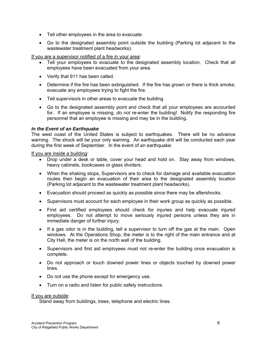- Tell other employees in the area to evacuate.
- Go to the designated assembly point outside the building (Parking lot adjacent to the wastewater treatment plant headworks).

If you are a supervisor notified of a fire in your area:

- Tell your employees to evacuate to the designated assembly location. Check that all employees have been evacuated from your area.
- Verify that 911 has been called.
- Determine if the fire has been extinguished. If the fire has grown or there is thick smoke, evacuate any employees trying to fight the fire.
- Tell supervisors in other areas to evacuate the building
- Go to the designated assembly point and check that all your employees are accounted for. If an employee is missing, *do not* re-enter the building! Notify the responding fire personnel that an employee is missing and may be in the building.

### *In the Event of an Earthquake*

The west coast of the United States is subject to earthquakes. There will be no advance warning. The shock will be your only warning. An earthquake drill will be conducted each year during the first week of September. In the event of an earthquake:

If you are inside a building:

- Drop under a desk or table, cover your head and hold on. Stay away from windows, heavy cabinets, bookcases or glass dividers.
- When the shaking stops, Supervisors are to check for damage and available evacuation routes then begin an evacuation of their area to the designated assembly location (Parking lot adjacent to the wastewater treatment plant headworks).
- Evacuation should proceed as quickly as possible since there may be aftershocks.
- Supervisors must account for each employee in their work group as quickly as possible.
- First aid certified employees should check for injuries and help evacuate injured employees. Do not attempt to move seriously injured persons unless they are in immediate danger of further injury.
- If a gas odor is in the building, tell a supervisor to turn off the gas at the main. Open windows. At the Operations Shop, the meter is to the right of the main entrance and at City Hall, the meter is on the north wall of the building.
- Supervisors and first aid employees must not re-enter the building once evacuation is complete.
- Do not approach or touch downed power lines or objects touched by downed power lines.
- Do not use the phone except for emergency use.
- Turn on a radio and listen for public safety instructions.

### If you are outside:

Stand away from buildings, trees, telephone and electric lines.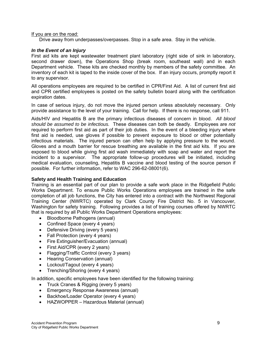### If you are on the road:

Drive away from underpasses/overpasses. Stop in a safe area. Stay in the vehicle.

### *In the Event of an Injury*

First aid kits are kept wastewater treatment plant laboratory (right side of sink in laboratory, second drawer down), the Operations Shop (break room, southeast wall) and in each Department vehicle. These kits are checked monthly by members of the safety committee. An inventory of each kit is taped to the inside cover of the box. If an injury occurs, promptly report it to any supervisor.

All operations employees are required to be certified in CPR/First Aid. A list of current first aid and CPR certified employees is posted on the safety bulletin board along with the certification expiration dates.

In case of serious injury, do not move the injured person unless absolutely necessary. Only provide assistance to the level of your training. Call for help. If there is no response, call 911.

Aids/HIV and Hepatitis B are the primary infectious diseases of concern in blood. *All blood should be assumed to be infectious.* These diseases can both be deadly. Employees are *not* required to perform first aid as part of their job duties. In the event of a bleeding injury where first aid is needed, use gloves if possible to prevent exposure to blood or other potentially infectious materials. The injured person can often help by applying pressure to the wound. Gloves and a mouth barrier for rescue breathing are available in the first aid kits. If you are exposed to blood while giving first aid wash immediately with soap and water and report the incident to a supervisor. The appropriate follow-up procedures will be initiated, including medical evaluation, counseling, Hepatitis B vaccine and blood testing of the source person if possible. For further information, refer to WAC 296-62-08001(6).

### **Safety and Health Training and Education**

Training is an essential part of our plan to provide a safe work place in the Ridgefield Public Works Department. To ensure Public Works Operations employees are trained in the safe completion of all job functions, the City has entered into a contract with the Northwest Regional Training Center (NWRTC) operated by Clark County Fire District No. 5 in Vancouver, Washington for safety training. Following provides a list of training courses offered by NWRTC that is required by all Public Works Department Operations employees:

- Bloodborne Pathogens (annual)
- Confined Space (every 4 years)
- Defensive Driving (every 5 years)
- Fall Protection (every 4 years)
- Fire Extinguisher/Evacuation (annual)
- First Aid/CPR (every 2 years)
- Flagging/Traffic Control (every 3 years)
- Hearing Conservation (annual)
- Lockout/Tagout (every 4 years)
- Trenching/Shoring (every 4 years)

In addition, specific employees have been identified for the following training:

- Truck Cranes & Rigging (every 5 years)
- Emergency Response Awareness (annual)
- Backhoe/Loader Operator (every 4 years)
- HAZWOPPER Hazardous Material (annual)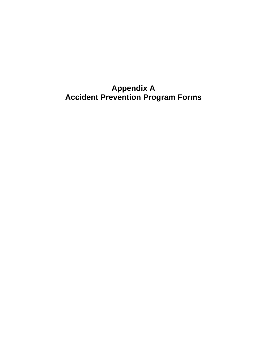**Appendix A Accident Prevention Program Forms**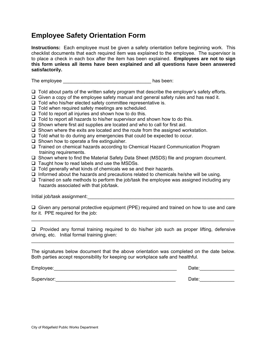# **Employee Safety Orientation Form**

**Instructions:** Each employee must be given a safety orientation before beginning work. This checklist documents that each required item was explained to the employee. The supervisor is to place a check in each box after the item has been explained. **Employees are not to sign this form unless all items have been explained and all questions have been answered satisfactorily.**

The employee **EXECUTE:** has been:

- $\Box$  Told about parts of the written safety program that describe the employer's safety efforts.
- $\Box$  Given a copy of the employee safety manual and general safety rules and has read it.
- $\Box$  Told who his/her elected safety committee representative is.
- $\Box$  Told when required safety meetings are scheduled.
- $\Box$  Told to report all injuries and shown how to do this.
- $\Box$  Told to report all hazards to his/her supervisor and shown how to do this.
- $\square$  Shown where first aid supplies are located and who to call for first aid.
- $\Box$  Shown where the exits are located and the route from the assigned workstation.
- $\Box$  Told what to do during any emergencies that could be expected to occur.
- $\Box$  Shown how to operate a fire extinguisher.
- Trained on chemical hazards according to Chemical Hazard Communication Program training requirements.
- $\Box$  Shown where to find the Material Safety Data Sheet (MSDS) file and program document.
- $\Box$  Taught how to read labels and use the MSDSs.
- $\Box$  Told generally what kinds of chemicals we se and their hazards.
- $\Box$  Informed about the hazards and precautions related to chemicals he/she will be using.
- $\Box$  Trained on safe methods to perform the job/task the employee was assigned including any hazards associated with that job/task.

Initial job/task assignment:  $\blacksquare$ 

 Given any personal protective equipment (PPE) required and trained on how to use and care for it. PPE required for the job: \_\_\_\_\_\_\_\_\_\_\_\_\_\_\_\_\_\_\_\_\_\_\_\_\_\_\_\_\_\_\_\_\_\_\_\_\_\_\_\_\_\_\_\_\_\_\_\_\_\_\_\_\_\_\_\_\_\_\_\_\_\_\_\_\_\_\_\_\_\_\_\_\_\_\_\_

 $\Box$  Provided any formal training required to do his/her job such as proper lifting, defensive driving, etc. Initial formal training given: \_\_\_\_\_\_\_\_\_\_\_\_\_\_\_\_\_\_\_\_\_\_\_\_\_\_\_\_\_\_\_\_\_\_\_\_\_\_\_\_\_\_\_\_\_\_\_\_\_\_\_\_\_\_\_\_\_\_\_\_\_\_\_\_\_\_\_\_\_\_\_\_\_\_\_\_

The signatures below document that the above orientation was completed on the date below. Both parties accept responsibility for keeping our workplace safe and healthful.

Employee:\_\_\_\_\_\_\_\_\_\_\_\_\_\_\_\_\_\_\_\_\_\_\_\_\_\_\_\_\_\_\_\_\_\_\_\_\_\_\_\_\_\_\_\_\_\_ Date:\_\_\_\_\_\_\_\_\_\_\_\_\_

Supervisor:\_\_\_\_\_\_\_\_\_\_\_\_\_\_\_\_\_\_\_\_\_\_\_\_\_\_\_\_\_\_\_\_\_\_\_\_\_\_\_\_\_\_\_\_\_ Date:\_\_\_\_\_\_\_\_\_\_\_\_\_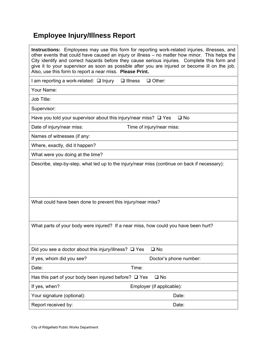# **Employee Injury/Illness Report**

| <b>Instructions:</b> Employees may use this form for reporting work-related injuries, illnesses, and<br>other events that could have caused an injury or illness - no matter how minor. This helps the<br>City identify and correct hazards before they cause serious injuries. Complete this form and<br>give it to your supervisor as soon as possible after you are injured or become ill on the job.<br>Also, use this form to report a near miss. Please Print. |  |  |  |
|----------------------------------------------------------------------------------------------------------------------------------------------------------------------------------------------------------------------------------------------------------------------------------------------------------------------------------------------------------------------------------------------------------------------------------------------------------------------|--|--|--|
| $\Box$ Other:<br>I am reporting a work-related: $\Box$ Injury<br>$\Box$ Illness                                                                                                                                                                                                                                                                                                                                                                                      |  |  |  |
| Your Name:                                                                                                                                                                                                                                                                                                                                                                                                                                                           |  |  |  |
| Job Title:                                                                                                                                                                                                                                                                                                                                                                                                                                                           |  |  |  |
| Supervisor:                                                                                                                                                                                                                                                                                                                                                                                                                                                          |  |  |  |
| Have you told your supervisor about this injury/near miss? $\Box$ Yes<br>$\square$ No                                                                                                                                                                                                                                                                                                                                                                                |  |  |  |
| Date of injury/near miss:<br>Time of injury/near miss:                                                                                                                                                                                                                                                                                                                                                                                                               |  |  |  |
| Names of witnesses (if any:                                                                                                                                                                                                                                                                                                                                                                                                                                          |  |  |  |
| Where, exactly, did it happen?                                                                                                                                                                                                                                                                                                                                                                                                                                       |  |  |  |
| What were you doing at the time?                                                                                                                                                                                                                                                                                                                                                                                                                                     |  |  |  |
| Describe, step-by-step, what led up to the injury/near miss (continue on back if necessary):<br>What could have been done to prevent this injury/near miss?                                                                                                                                                                                                                                                                                                          |  |  |  |
| What parts of your body were injured? If a near miss, how could you have been hurt?                                                                                                                                                                                                                                                                                                                                                                                  |  |  |  |
| Did you see a doctor about this injury/illness? □ Yes<br>$\square$ No                                                                                                                                                                                                                                                                                                                                                                                                |  |  |  |
| If yes, whom did you see?<br>Doctor's phone number:                                                                                                                                                                                                                                                                                                                                                                                                                  |  |  |  |
| Time:<br>Date:                                                                                                                                                                                                                                                                                                                                                                                                                                                       |  |  |  |
| Has this part of your body been injured before? $\Box$ Yes<br>$\square$ No                                                                                                                                                                                                                                                                                                                                                                                           |  |  |  |
| If yes, when?<br>Employer (if applicable):                                                                                                                                                                                                                                                                                                                                                                                                                           |  |  |  |
| Your signature (optional):<br>Date:                                                                                                                                                                                                                                                                                                                                                                                                                                  |  |  |  |
| Report received by:<br>Date:                                                                                                                                                                                                                                                                                                                                                                                                                                         |  |  |  |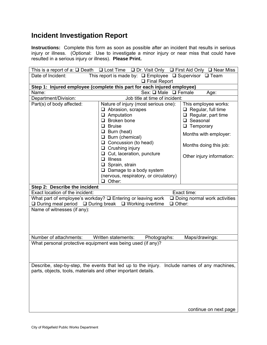# **Incident Investigation Report**

**Instructions:** Complete this form as soon as possible after an incident that results in serious injury or illness. (Optional: Use to investigate a minor injury or near miss that could have resulted in a serious injury or illness). **Please Print.** 

| This is a report of a: $\square$ Death $\square$ Lost Time $\square$ Dr. Visit Only $\square$ First Aid Only $\square$ Near Miss |                                                                                                 |                                     |  |  |
|----------------------------------------------------------------------------------------------------------------------------------|-------------------------------------------------------------------------------------------------|-------------------------------------|--|--|
| This report is made by: $\Box$ Employee $\Box$ Supervisor $\Box$ Team<br>Date of Incident:                                       |                                                                                                 |                                     |  |  |
| $\Box$ Final Report                                                                                                              |                                                                                                 |                                     |  |  |
|                                                                                                                                  | Step 1: Injured employee (complete this part for each injured employee)                         |                                     |  |  |
| Name:                                                                                                                            | Sex: □ Male □ Female                                                                            | Age:                                |  |  |
| Department/Division:                                                                                                             | Job title at time of incident:                                                                  |                                     |  |  |
| Part(s) of body affected:                                                                                                        | Nature of injury (most serious one):                                                            | This employee works:                |  |  |
|                                                                                                                                  | $\Box$ Abrasion, scrapes                                                                        | $\Box$ Regular, full time           |  |  |
|                                                                                                                                  | $\Box$ Amputation                                                                               | $\Box$ Regular, part time           |  |  |
|                                                                                                                                  | $\Box$ Broken bone                                                                              | □ Seasonal                          |  |  |
|                                                                                                                                  | $\Box$ Bruise                                                                                   | $\Box$ Temporary                    |  |  |
|                                                                                                                                  | $\Box$ Burn (heat)                                                                              | Months with employer:               |  |  |
|                                                                                                                                  | Burn (chemical)<br>❏                                                                            |                                     |  |  |
|                                                                                                                                  | Concussion (to head)<br>❏                                                                       | Months doing this job:              |  |  |
|                                                                                                                                  | $\Box$ Crushing injury                                                                          |                                     |  |  |
|                                                                                                                                  | $\Box$ Cut, laceration, puncture<br>$\Box$ Illness                                              | Other injury information:           |  |  |
|                                                                                                                                  | $\Box$ Sprain, strain                                                                           |                                     |  |  |
|                                                                                                                                  | $\Box$ Damage to a body system                                                                  |                                     |  |  |
|                                                                                                                                  | (nervous, respiratory, or circulatory)                                                          |                                     |  |  |
|                                                                                                                                  | $\Box$ Other:                                                                                   |                                     |  |  |
| Step 2: Describe the incident                                                                                                    |                                                                                                 |                                     |  |  |
| Exact location of the incident:                                                                                                  |                                                                                                 | Exact time:                         |  |  |
|                                                                                                                                  | What part of employee's workday? $\square$ Entering or leaving work                             | $\Box$ Doing normal work activities |  |  |
|                                                                                                                                  | $\square$ During meal period $\square$ During break $\square$ Working overtime<br>$\Box$ Other: |                                     |  |  |
| Name of witnesses (if any):                                                                                                      |                                                                                                 |                                     |  |  |
|                                                                                                                                  |                                                                                                 |                                     |  |  |
|                                                                                                                                  |                                                                                                 |                                     |  |  |
|                                                                                                                                  |                                                                                                 |                                     |  |  |
|                                                                                                                                  |                                                                                                 |                                     |  |  |
| Number of attachments:                                                                                                           | Written statements:<br>Photographs:                                                             | Maps/drawings:                      |  |  |
| What personal protective equipment was being used (if any)?                                                                      |                                                                                                 |                                     |  |  |
|                                                                                                                                  |                                                                                                 |                                     |  |  |
|                                                                                                                                  |                                                                                                 |                                     |  |  |
|                                                                                                                                  |                                                                                                 |                                     |  |  |
| Describe, step-by-step, the events that led up to the injury. Include names of any machines,                                     |                                                                                                 |                                     |  |  |
| parts, objects, tools, materials and other important details.                                                                    |                                                                                                 |                                     |  |  |
|                                                                                                                                  |                                                                                                 |                                     |  |  |
|                                                                                                                                  |                                                                                                 |                                     |  |  |
|                                                                                                                                  |                                                                                                 |                                     |  |  |
|                                                                                                                                  |                                                                                                 |                                     |  |  |
|                                                                                                                                  |                                                                                                 |                                     |  |  |
|                                                                                                                                  |                                                                                                 |                                     |  |  |
|                                                                                                                                  |                                                                                                 | continue on next page               |  |  |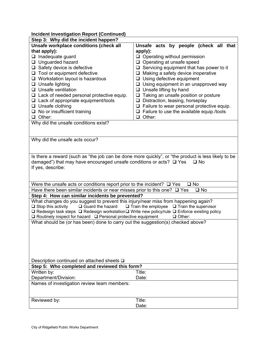**Incident Investigation Report (Continued)**

| Step 3: Why did the incident happen?                                                          |                                                                                                     |  |  |  |
|-----------------------------------------------------------------------------------------------|-----------------------------------------------------------------------------------------------------|--|--|--|
| Unsafe workplace conditions (check all                                                        | Unsafe acts by people (check all that                                                               |  |  |  |
| that apply):                                                                                  | apply):                                                                                             |  |  |  |
| $\Box$ Inadequate guard                                                                       | $\Box$ Operating without permission                                                                 |  |  |  |
| □ Unguarded hazard                                                                            | □ Operating at unsafe speed                                                                         |  |  |  |
| $\Box$ Safety device is defective                                                             | $\Box$ Servicing equipment that has power to it                                                     |  |  |  |
| $\Box$ Tool or equipment defective                                                            | $\Box$ Making a safety device inoperative                                                           |  |  |  |
| $\Box$ Workstation layout is hazardous                                                        | $\Box$ Using defective equipment                                                                    |  |  |  |
| $\Box$ Unsafe lighting                                                                        | $\Box$ Using equipment in an unapproved way                                                         |  |  |  |
| $\Box$ Unsafe ventilation                                                                     | $\Box$ Unsafe lifting by hand                                                                       |  |  |  |
| $\Box$ Lack of needed personal protective equip.                                              | $\Box$ Taking an unsafe position or posture                                                         |  |  |  |
| $\Box$ Lack of appropriate equipment/tools                                                    | $\Box$ Distraction, teasing, horseplay                                                              |  |  |  |
| $\Box$ Unsafe clothing                                                                        | $\Box$ Failure to wear personal protective equip.                                                   |  |  |  |
| $\Box$ No or insufficient training                                                            | $\Box$ Failure to use the available equip./tools                                                    |  |  |  |
| $\Box$ Other:                                                                                 | $\Box$ Other:                                                                                       |  |  |  |
| Why did the unsafe conditions exist?                                                          |                                                                                                     |  |  |  |
|                                                                                               |                                                                                                     |  |  |  |
|                                                                                               |                                                                                                     |  |  |  |
| Why did the unsafe acts occur?                                                                |                                                                                                     |  |  |  |
|                                                                                               |                                                                                                     |  |  |  |
|                                                                                               |                                                                                                     |  |  |  |
|                                                                                               | Is there a reward (such as "the job can be done more quickly", or "the product is less likely to be |  |  |  |
| damaged") that may have encouraged unsafe conditions or acts? $\Box$ Yes                      | $\square$ No                                                                                        |  |  |  |
| If yes, describe:                                                                             |                                                                                                     |  |  |  |
|                                                                                               |                                                                                                     |  |  |  |
| Were the unsafe acts or conditions report prior to the incident? $\Box$ Yes<br>$\square$ No   |                                                                                                     |  |  |  |
| Have there been similar incidents or near misses prior to this one? $\Box$ Yes                | $\square$ No                                                                                        |  |  |  |
| Step 4: How can similar incidents be prevented?                                               |                                                                                                     |  |  |  |
| What changes do you suggest to prevent this injury/near miss from happening again?            |                                                                                                     |  |  |  |
| $\Box$ Stop this activity                                                                     | $\Box$ Guard the hazard $\Box$ Train the employee $\Box$ Train the supervisor                       |  |  |  |
| □ Redesign task steps □ Redesign workstation□ Write new policy/rule □ Enforce existing policy |                                                                                                     |  |  |  |
| $\Box$ Routinely inspect for hazard $\Box$ Personal protective equipment                      | $\Box$ Other:                                                                                       |  |  |  |
| What should be (or has been) done to carry out the suggestion(s) checked above?               |                                                                                                     |  |  |  |
|                                                                                               |                                                                                                     |  |  |  |
|                                                                                               |                                                                                                     |  |  |  |
|                                                                                               |                                                                                                     |  |  |  |
|                                                                                               |                                                                                                     |  |  |  |
|                                                                                               |                                                                                                     |  |  |  |
|                                                                                               |                                                                                                     |  |  |  |
| Description continued on attached sheets □                                                    |                                                                                                     |  |  |  |
| Step 5: Who completed and reviewed this form?                                                 |                                                                                                     |  |  |  |
| Written by:                                                                                   | Title:                                                                                              |  |  |  |
| Department/Division:                                                                          | Date:                                                                                               |  |  |  |
| Names of investigation review team members:                                                   |                                                                                                     |  |  |  |
|                                                                                               |                                                                                                     |  |  |  |
|                                                                                               | Title:                                                                                              |  |  |  |
| Reviewed by:                                                                                  |                                                                                                     |  |  |  |
|                                                                                               | Date:                                                                                               |  |  |  |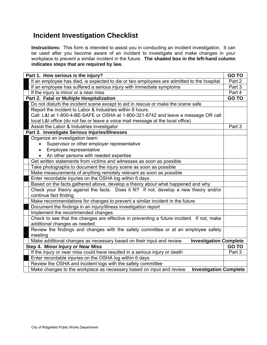# **Incident Investigation Checklist**

**Instructions:** This form is intended to assist you in conducting an incident investigation. It can be used after you become aware of an incident to investigate and make changes in your workplace to prevent a similar incident in the future. **The shaded box in the left-hand column indicates steps that are required by law.**

| Part 1. How serious is the injury?                                                                             | GO TO        |
|----------------------------------------------------------------------------------------------------------------|--------------|
| If an employee has died, is expected to die or two employees are admitted to the hospital                      | Part 2       |
| If an employee has suffered a serious injury with immediate symptoms                                           | Part 3       |
| If the injury is minor or a near miss                                                                          | Part 4       |
| Part 2. Fatal or Multiple Hospitalization                                                                      | GO TO        |
| Do not disturb the incident scene except to aid in rescue or make the scene safe                               |              |
| Report the incident to Labor & Industries within 8 hours.                                                      |              |
| Call: L&I at 1-800-4-BE-SAFE or OSHA at 1-800-321-6742 and leave a message OR call                             |              |
| local L&I office (do not fax or leave a voice mail message at the local office)                                |              |
| Assist the Labor & Industries investigator                                                                     | Part 3       |
| Part 3. Investigate Serious Injuries/Illnesses                                                                 |              |
| Organize an investigation team:                                                                                |              |
| Supervisor or other employer representative                                                                    |              |
| Employee representative                                                                                        |              |
| An other persons with needed expertise                                                                         |              |
| Get written statements from victims and witnesses as soon as possible                                          |              |
| Take photographs to document the injury scene as soon as possible                                              |              |
| Make measurements of anything remotely relevant as soon as possible                                            |              |
| Enter recordable injuries on the OSHA log within 6 days                                                        |              |
| Based on the facts gathered above, develop a theory about what happened and why                                |              |
| Check your theory against the facts. Does it fit? If not, develop a new theory and/or<br>continue fact finding |              |
| Make recommendations for changes to prevent a similar incident in the future                                   |              |
| Document the findings in an injury/illness investigation report                                                |              |
| Implement the recommended changes                                                                              |              |
| Check to see that the changes are effective in preventing a future incident. If not, make                      |              |
| additional changes as needed.                                                                                  |              |
| Review the findings and changes with the safety committee or at an employee safety                             |              |
| meeting                                                                                                        |              |
| Make additional changes as necessary based on their input and review<br><b>Investigation Complete</b>          |              |
| Step 4. Minor Injury or Near Miss                                                                              | <b>GO TO</b> |
| If the injury or near miss could have resulted in a serious injury or death                                    | Part 3       |
| Enter recordable injuries on the OSHA log within 6 days                                                        |              |
| Review the OSHA and incident logs with the safety committee                                                    |              |
| Make changes to the workplace as necessary based on input and review<br><b>Investigation Complete</b>          |              |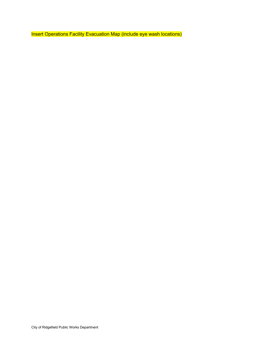Insert Operations Facility Evacuation Map (include eye wash locations)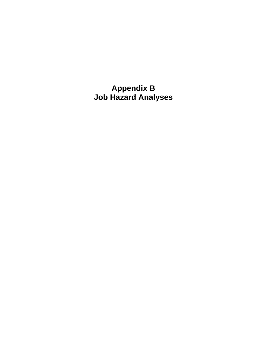**Appendix B Job Hazard Analyses**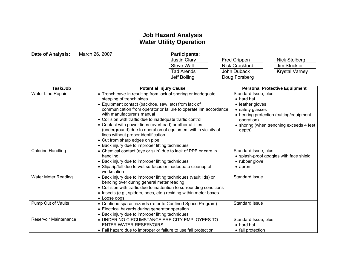### **Job Hazard Analysis Water Utility Operation**

| Date of Analysis: | March 26, 2007 | <b>Participants:</b> |                       |                       |
|-------------------|----------------|----------------------|-----------------------|-----------------------|
|                   |                | <b>Justin Clary</b>  | Fred Crippen          | Nick Stolberg         |
|                   |                | Steve Wall           | <b>Nick Crockford</b> | <b>Jim Strickler</b>  |
|                   |                | Tad Arends           | John Duback           | <b>Krystal Varney</b> |
|                   |                | Jeff Bolling         | Doug Forsberg         |                       |

| Task/Job                   | <b>Potential Injury Cause</b>                                                                                                                                                                                                                                                                                                                                                                                                                                                                                            | <b>Personal Protective Equipment</b>                                                                                                                                                               |
|----------------------------|--------------------------------------------------------------------------------------------------------------------------------------------------------------------------------------------------------------------------------------------------------------------------------------------------------------------------------------------------------------------------------------------------------------------------------------------------------------------------------------------------------------------------|----------------------------------------------------------------------------------------------------------------------------------------------------------------------------------------------------|
| Water Line Repair          | • Trench cave-in resulting from lack of shoring or inadequate<br>stepping of trench sides<br>• Equipment contact (backhoe, saw, etc) from lack of<br>communication from operator or failure to operate inn accordance<br>with manufacturer's manual<br>• Collision with traffic due to inadequate traffic control<br>• Contact with power lines (overhead) or other utilities<br>(underground) due to operation of equipment within vicinity of<br>lines without proper identification<br>• Cut from sharp edges on pipe | Standard Issue, plus:<br>$\bullet$ hard hat<br>• leather gloves<br>• safety glasses<br>• hearing protection (cutting/equipment<br>operation)<br>• shoring (when trenching exceeds 4 feet<br>depth) |
|                            | • Back injury due to improper lifting techniques                                                                                                                                                                                                                                                                                                                                                                                                                                                                         |                                                                                                                                                                                                    |
| <b>Chlorine Handling</b>   | • Chemical contact (eye or skin) due to lack of PPE or care in<br>handling<br>• Back injury due to improper lifting techniques<br>• Slip/trip/fall due to wet surfaces or inadequate cleanup of<br>workstation                                                                                                                                                                                                                                                                                                           | Standard Issue, plus:<br>• splash-proof goggles with face shield<br>• rubber glove<br>$\bullet$ apron                                                                                              |
| <b>Water Meter Reading</b> | • Back injury due to improper lifting techniques (vault lids) or<br>bending over during general meter reading<br>• Collision with traffic due to inattention to surrounding conditions<br>• Insects (e.g., spiders, bees, etc.) residing within meter boxes<br>• Loose dogs                                                                                                                                                                                                                                              | <b>Standard Issue</b>                                                                                                                                                                              |
| Pump Out of Vaults         | • Confined space hazards (refer to Confined Space Program)<br>• Electrical hazards during generator operation<br>• Back injury due to improper lifting techniques                                                                                                                                                                                                                                                                                                                                                        | Standard Issue                                                                                                                                                                                     |
| Reservoir Maintenance      | • UNDER NO CIRCUMSTANCE ARE CITY EMPLOYEES TO<br><b>ENTER WATER RESERVOIRS</b><br>• Fall hazard due to improper or failure to use fall protection                                                                                                                                                                                                                                                                                                                                                                        | Standard Issue, plus:<br>$\bullet$ hard hat<br>• fall protection                                                                                                                                   |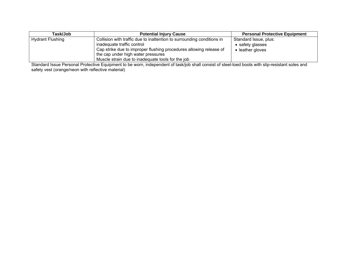| Task/Job                | <b>Potential Injury Cause</b>                                          | <b>Personal Protective Equipment</b> |
|-------------------------|------------------------------------------------------------------------|--------------------------------------|
| <b>Hydrant Flushing</b> | Collision with traffic due to inattention to surrounding conditions in | Standard Issue, plus:                |
|                         | inadequate traffic control                                             | • safety glasses                     |
|                         | Cap strike due to improper flushing procedures allowing release of     | • leather gloves                     |
|                         | the cap under high water pressures                                     |                                      |
|                         | Muscle strain due to inadequate tools for the job                      |                                      |

Standard Issue Personal Protective Equipment to be worn, independent of task/job shall consist of steel-toed boots with slip-resistant soles and safety vest (orange/neon with reflective material)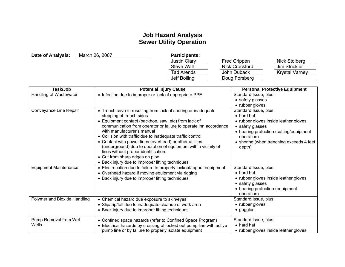## **Job Hazard Analysis Sewer Utility Operation**

| Date of Analysis: | March 26, 2007 | <b>Participants:</b> |                     |                       |
|-------------------|----------------|----------------------|---------------------|-----------------------|
|                   |                | <b>Justin Clary</b>  | <b>Fred Crippen</b> | Nick Stolberg         |
|                   |                | Steve Wall           | Nick Crockford      | Jim Strickler         |
|                   |                | Tad Arends           | John Duback         | <b>Krystal Varney</b> |
|                   |                | Jeff Bolling         | Doug Forsberg       |                       |

| Task/Job                       | <b>Potential Injury Cause</b>                                                                                                                                                                                                                                                                                     | <b>Personal Protective Equipment</b>                                                                                                                              |
|--------------------------------|-------------------------------------------------------------------------------------------------------------------------------------------------------------------------------------------------------------------------------------------------------------------------------------------------------------------|-------------------------------------------------------------------------------------------------------------------------------------------------------------------|
| Handling of Wastewater         | • Infection due to improper or lack of appropriate PPE                                                                                                                                                                                                                                                            | Standard Issue, plus:                                                                                                                                             |
|                                |                                                                                                                                                                                                                                                                                                                   | • safety glasses                                                                                                                                                  |
|                                |                                                                                                                                                                                                                                                                                                                   | • rubber gloves                                                                                                                                                   |
| Conveyance Line Repair         | • Trench cave-in resulting from lack of shoring or inadequate<br>stepping of trench sides<br>• Equipment contact (backhoe, saw, etc) from lack of<br>communication from operator or failure to operate inn accordance<br>with manufacturer's manual<br>• Collision with traffic due to inadequate traffic control | Standard Issue, plus:<br>$\bullet$ hard hat<br>• rubber gloves inside leather gloves<br>• safety glasses<br>• hearing protection (cutting/equipment<br>operation) |
|                                | • Contact with power lines (overhead) or other utilities<br>(underground) due to operation of equipment within vicinity of<br>lines without proper identification<br>• Cut from sharp edges on pipe<br>• Back injury due to improper lifting techniques                                                           | • shoring (when trenching exceeds 4 feet<br>depth)                                                                                                                |
| <b>Equipment Maintenance</b>   | • Electrocution due to failure to properly lockout/tagout equipment<br>• Overhead hazard if moving equipment via rigging<br>• Back injury due to improper lifting techniques                                                                                                                                      | Standard Issue, plus:<br>$\bullet$ hard hat<br>• rubber gloves inside leather gloves<br>• safety glasses<br>• hearing protection (equipment<br>operation)         |
| Polymer and Bioxide Handling   | • Chemical hazard due exposure to skin/eyes<br>• Slip/trip/fall due to inadequate cleanup of work area<br>• Back injury due to improper lifting techniques                                                                                                                                                        | Standard Issue, plus:<br>• rubber gloves<br>• goggles                                                                                                             |
| Pump Removal from Wet<br>Wells | • Confined space hazards (refer to Confined Space Program)<br>• Electrical hazards by crossing of locked out pump line with active<br>pump line or by failure to properly isolate equipment                                                                                                                       | Standard Issue, plus:<br>$\bullet$ hard hat<br>• rubber gloves inside leather gloves                                                                              |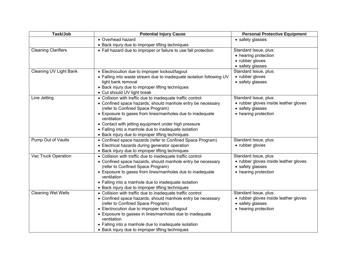| Task/Job                   | <b>Potential Injury Cause</b>                                                                    | <b>Personal Protective Equipment</b>  |
|----------------------------|--------------------------------------------------------------------------------------------------|---------------------------------------|
|                            | • Overhead hazard                                                                                | • safety glasses                      |
|                            | • Back injury due to improper lifting techniques                                                 |                                       |
| <b>Cleaning Clarifiers</b> | • Fall hazard due to improper or failure to use fall protection                                  | Standard Issue, plus:                 |
|                            |                                                                                                  | • hearing protection                  |
|                            |                                                                                                  | • rubber gloves                       |
|                            |                                                                                                  | • safety glasses                      |
| Cleaning UV Light Bank     | • Electrocution due to improper lockout/tagout                                                   | Standard Issue, plus:                 |
|                            | • Falling into waste stream due to inadequate isolation following UV                             | • rubber gloves                       |
|                            | light bank removal                                                                               | • safety glasses                      |
|                            | • Back injury due to improper lifting techniques                                                 |                                       |
|                            | • Cut should UV light break                                                                      |                                       |
| Line Jetting               | • Collision with traffic due to inadequate traffic control                                       | Standard Issue, plus:                 |
|                            | • Confined space hazards, should manhole entry be necessary                                      | • rubber gloves inside leather gloves |
|                            | (refer to Confined Space Program)                                                                | • safety glasses                      |
|                            | • Exposure to gases from lines/manholes due to inadequate                                        | • hearing protection                  |
|                            | ventilation                                                                                      |                                       |
|                            | • Contact with jetting equipment under high pressure                                             |                                       |
|                            | • Falling into a manhole due to inadequate isolation                                             |                                       |
|                            | • Back injury due to improper lifting techniques                                                 |                                       |
| Pump Out of Vaults         | • Confined space hazards (refer to Confined Space Program)                                       | Standard Issue, plus:                 |
|                            | • Electrical hazards during generator operation                                                  | • rubber gloves                       |
|                            | • Back injury due to improper lifting techniques                                                 |                                       |
| Vac Truck Operation        | • Collision with traffic due to inadequate traffic control                                       | Standard Issue, plus:                 |
|                            | • Confined space hazards, should manhole entry be necessary                                      | • rubber gloves inside leather gloves |
|                            | (refer to Confined Space Program)                                                                | • safety glasses                      |
|                            | • Exposure to gases from lines/manholes due to inadequate                                        | • hearing protection                  |
|                            | ventilation                                                                                      |                                       |
|                            | • Falling into a manhole due to inadequate isolation                                             |                                       |
| <b>Cleaning Wet Wells</b>  | • Back injury due to improper lifting techniques                                                 | Standard Issue, plus:                 |
|                            | • Collision with traffic due to inadequate traffic control                                       | • rubber gloves inside leather gloves |
|                            | • Confined space hazards, should manhole entry be necessary<br>(refer to Confined Space Program) | • safety glasses                      |
|                            | • Electrocution due to improper lockout/tagout                                                   | • hearing protection                  |
|                            | • Exposure to gasses in lines/manholes due to inadequate                                         |                                       |
|                            | ventilation                                                                                      |                                       |
|                            | • Falling into a manhole due to inadequate isolation                                             |                                       |
|                            | • Back injury due to improper lifting techniques                                                 |                                       |
|                            |                                                                                                  |                                       |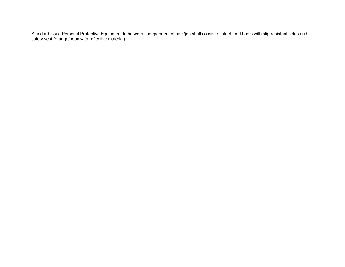Standard Issue Personal Protective Equipment to be worn, independent of task/job shall consist of steel-toed boots with slip-resistant soles and safety vest (orange/neon with reflective material)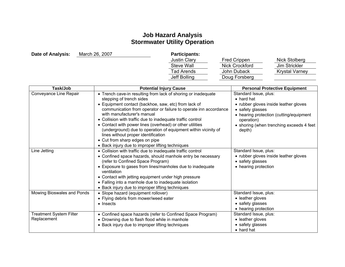### **Job Hazard Analysis Stormwater Utility Operation**

| Date of Analysis: | March 26, 2007 | <b>Participants:</b> |                |                       |
|-------------------|----------------|----------------------|----------------|-----------------------|
|                   |                | <b>Justin Clary</b>  | Fred Crippen   | <b>Nick Stolberg</b>  |
|                   |                | <b>Steve Wall</b>    | Nick Crockford | <b>Jim Strickler</b>  |
|                   |                | <b>Tad Arends</b>    | John Duback    | <b>Krystal Varney</b> |
|                   |                | Jeff Bolling         | Doug Forsberg  |                       |

| Task/Job                                      | <b>Potential Injury Cause</b>                                                                                                                                                                                                                                                                                                                                                                                                                                                                                                                                                | <b>Personal Protective Equipment</b>                                                                                                                                                                                    |
|-----------------------------------------------|------------------------------------------------------------------------------------------------------------------------------------------------------------------------------------------------------------------------------------------------------------------------------------------------------------------------------------------------------------------------------------------------------------------------------------------------------------------------------------------------------------------------------------------------------------------------------|-------------------------------------------------------------------------------------------------------------------------------------------------------------------------------------------------------------------------|
| Conveyance Line Repair                        | • Trench cave-in resulting from lack of shoring or inadequate<br>stepping of trench sides<br>• Equipment contact (backhoe, saw, etc) from lack of<br>communication from operator or failure to operate inn accordance<br>with manufacturer's manual<br>• Collision with traffic due to inadequate traffic control<br>• Contact with power lines (overhead) or other utilities<br>(underground) due to operation of equipment within vicinity of<br>lines without proper identification<br>• Cut from sharp edges on pipe<br>• Back injury due to improper lifting techniques | Standard Issue, plus:<br>$\bullet$ hard hat<br>• rubber gloves inside leather gloves<br>• safety glasses<br>• hearing protection (cutting/equipment<br>operation)<br>• shoring (when trenching exceeds 4 feet<br>depth) |
| Line Jetting                                  | • Collision with traffic due to inadequate traffic control<br>• Confined space hazards, should manhole entry be necessary<br>(refer to Confined Space Program)<br>• Exposure to gases from lines/manholes due to inadequate<br>ventilation<br>• Contact with jetting equipment under high pressure<br>• Falling into a manhole due to inadequate isolation<br>• Back injury due to improper lifting techniques                                                                                                                                                               | Standard Issue, plus:<br>• rubber gloves inside leather gloves<br>• safety glasses<br>• hearing protection                                                                                                              |
| Mowing Bioswales and Ponds                    | • Slope hazard (equipment rollover)<br>• Flying debris from mower/weed eater<br>$\bullet$ Insects                                                                                                                                                                                                                                                                                                                                                                                                                                                                            | Standard Issue, plus:<br>• leather gloves<br>• safety glasses<br>• hearing protection                                                                                                                                   |
| <b>Treatment System Filter</b><br>Replacement | • Confined space hazards (refer to Confined Space Program)<br>• Drowning due to flash flood while in manhole<br>• Back injury due to improper lifting techniques                                                                                                                                                                                                                                                                                                                                                                                                             | Standard Issue, plus:<br>• leather gloves<br>• safety glasses<br>$\bullet$ hard hat                                                                                                                                     |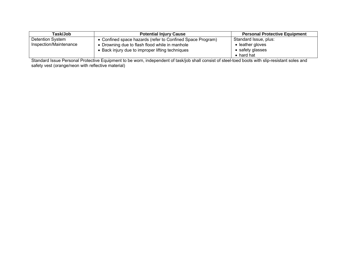| Task/Job               | <b>Potential Injury Cause</b>                              | <b>Personal Protective Equipment</b> |
|------------------------|------------------------------------------------------------|--------------------------------------|
| Detention System       | • Confined space hazards (refer to Confined Space Program) | Standard Issue, plus:                |
| Inspection/Maintenance | • Drowning due to flash flood while in manhole             | • leather gloves                     |
|                        | • Back injury due to improper lifting techniques           | • safety glasses                     |
|                        |                                                            | hard hat                             |

• hard hat Standard Issue Personal Protective Equipment to be worn, independent of task/job shall consist of steel-toed boots with slip-resistant soles and safety vest (orange/neon with reflective material)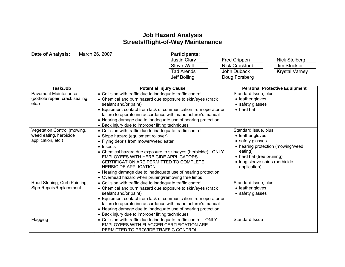### **Job Hazard Analysis Streets/Right-of-Way Maintenance**

| Date of Analysis: | March 26, 2007 | <b>Participants:</b> |                |                       |
|-------------------|----------------|----------------------|----------------|-----------------------|
|                   |                | <b>Justin Clary</b>  | Fred Crippen   | Nick Stolberg         |
|                   |                | Steve Wall           | Nick Crockford | Jim Strickler         |
|                   |                | Tad Arends           | John Duback    | <b>Krystal Varney</b> |
|                   |                | Jeff Bolling         | Doug Forsberg  |                       |

| Task/Job                        | <b>Potential Injury Cause</b>                                           | <b>Personal Protective Equipment</b>            |
|---------------------------------|-------------------------------------------------------------------------|-------------------------------------------------|
| <b>Pavement Maintenance</b>     | • Collision with traffic due to inadequate traffic control              | Standard Issue, plus:                           |
| (pothole repair, crack sealing, | • Chemical and burn hazard due exposure to skin/eyes (crack             | • leather gloves                                |
| etc.)                           | sealant and/or paint)                                                   | • safety glasses                                |
|                                 | • Equipment contact from lack of communication from operator or         | $\bullet$ hard hat                              |
|                                 | failure to operate inn accordance with manufacturer's manual            |                                                 |
|                                 | • Hearing damage due to inadequate use of hearing protection            |                                                 |
|                                 | • Back injury due to improper lifting techniques                        |                                                 |
| Vegetation Control (mowing,     | • Collision with traffic due to inadequate traffic control              | Standard Issue, plus:                           |
| weed eating, herbicide          | • Slope hazard (equipment rollover)                                     | • leather gloves                                |
| application, etc.)              | • Flying debris from mower/weed eater                                   | • safety glasses                                |
|                                 | $\bullet$ Insects                                                       | • hearing protection (mowing/weed               |
|                                 | • Chemical hazard due exposure to skin/eyes (herbicide) - ONLY          | eating)                                         |
|                                 | EMPLOYEES WITH HERBICIDE APPLICATORS                                    | • hard hat (tree pruning)                       |
|                                 | CERTIFICATION ARE PERMITTED TO COMPLETE<br><b>HERBICIDE APPLICATION</b> | • long sleeve shirts (herbicide<br>application) |
|                                 | • Hearing damage due to inadequate use of hearing protection            |                                                 |
|                                 | • Overhead hazard when pruning/removing tree limbs                      |                                                 |
| Road Striping, Curb Painting,   | • Collision with traffic due to inadequate traffic control              | Standard Issue, plus:                           |
| Sign Repair/Replacement         | • Chemical and burn hazard due exposure to skin/eyes (crack             | • leather gloves                                |
|                                 | sealant and/or paint)                                                   | • safety glasses                                |
|                                 | • Equipment contact from lack of communication from operator or         |                                                 |
|                                 | failure to operate inn accordance with manufacturer's manual            |                                                 |
|                                 | • Hearing damage due to inadequate use of hearing protection            |                                                 |
|                                 | • Back injury due to improper lifting techniques                        |                                                 |
| Flagging                        | • Collision with traffic due to inadequate traffic control - ONLY       | Standard Issue                                  |
|                                 | EMPLOYEES WITH FLAGGER CERTIFICATION ARE                                |                                                 |
|                                 | PERMITTED TO PROVIDE TRAFFIC CONTROL                                    |                                                 |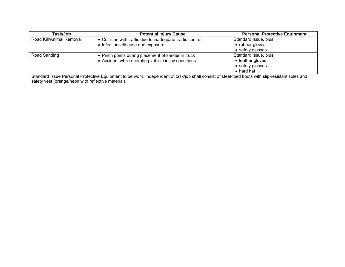| Task/Job                 | <b>Potential Injury Cause</b>                                                                              | <b>Personal Protective Equipment</b>                                                |
|--------------------------|------------------------------------------------------------------------------------------------------------|-------------------------------------------------------------------------------------|
| Road Kill/Animal Removal | • Collision with traffic due to inadequate traffic control<br>• Infectious disease due exposure            | Standard Issue, plus:<br>• rubber gloves                                            |
|                          |                                                                                                            | • safety glasses                                                                    |
| Road Sanding             | • Pinch points during placement of sander in truck<br>• Accident while operating vehicle in icy conditions | Standard Issue, plus:<br>• leather gloves<br>• safety glasses<br>$\bullet$ hard hat |

• hard hat Standard Issue Personal Protective Equipment to be worn, independent of task/job shall consist of steel-toed boots with slip-resistant soles and safety vest (orange/neon with reflective material)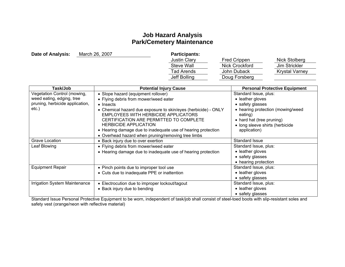# **Job Hazard Analysis Park/Cemetery Maintenance**

| <b>Date of Analysis:</b> | March 26, 2007 | <b>Participants:</b> |                     |                       |
|--------------------------|----------------|----------------------|---------------------|-----------------------|
|                          |                | <b>Justin Clary</b>  | <b>Fred Crippen</b> | <b>Nick Stolberg</b>  |
|                          |                | Steve Wall           | Nick Crockford      | Jim Strickler         |
|                          |                | Tad Arends           | John Duback         | <b>Krystal Varney</b> |
|                          |                | Jeff Bolling         | Doug Forsberg       |                       |

| Task/Job                             | <b>Potential Injury Cause</b>                                                                          | <b>Personal Protective Equipment</b>         |
|--------------------------------------|--------------------------------------------------------------------------------------------------------|----------------------------------------------|
| Vegetation Control (mowing,          | • Slope hazard (equipment rollover)                                                                    | Standard Issue, plus:                        |
| weed eating, edging, tree            | • Flying debris from mower/weed eater                                                                  | • leather gloves                             |
| pruning, herbicide application,      | $\bullet$ Insects                                                                                      | • safety glasses                             |
| etc.)                                | • Chemical hazard due exposure to skin/eyes (herbicide) - ONLY<br>EMPLOYEES WITH HERBICIDE APPLICATORS | • hearing protection (mowing/weed<br>eating) |
|                                      | CERTIFICATION ARE PERMITTED TO COMPLETE                                                                | • hard hat (tree pruning)                    |
|                                      | <b>HERBICIDE APPLICATION</b>                                                                           | • long sleeve shirts (herbicide              |
|                                      | • Hearing damage due to inadequate use of hearing protection                                           | application)                                 |
|                                      | • Overhead hazard when pruning/removing tree limbs                                                     |                                              |
| Grave Location                       | • Back injury due to over exertion                                                                     | <b>Standard Issue</b>                        |
| Leaf Blowing                         | • Flying debris from mower/weed eater                                                                  | Standard Issue, plus:                        |
|                                      | • Hearing damage due to inadequate use of hearing protection                                           | • leather gloves                             |
|                                      |                                                                                                        | • safety glasses                             |
|                                      |                                                                                                        | • hearing protection                         |
| <b>Equipment Repair</b>              | • Pinch points due to improper tool use                                                                | Standard Issue, plus:                        |
|                                      | • Cuts due to inadequate PPE or inattention                                                            | • leather gloves                             |
|                                      |                                                                                                        | • safety glasses                             |
| <b>Irrigation System Maintenance</b> | • Electrocution due to improper lockout/tagout                                                         | Standard Issue, plus:                        |
|                                      | • Back injury due to bending                                                                           | • leather gloves                             |
|                                      |                                                                                                        | • safety glasses                             |

Standard Issue Personal Protective Equipment to be worn, independent of task/job shall consist of steel-toed boots with slip-resistant soles and safety vest (orange/neon with reflective material)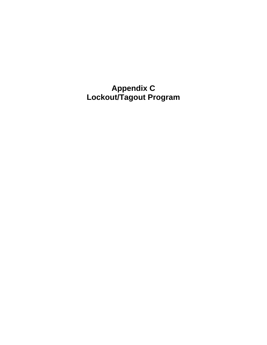**Appendix C Lockout/Tagout Program**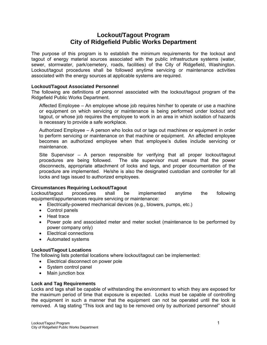### **Lockout/Tagout Program City of Ridgefield Public Works Department**

The purpose of this program is to establish the minimum requirements for the lockout and tagout of energy material sources associated with the public infrastructure systems (water, sewer, stormwater, park/cemetery, roads, facilities) of the City of Ridgefield, Washington. Lockout/tagout procedures shall be followed anytime servicing or maintenance activities associated with the energy sources at applicable systems are required.

### **Lockout/Tagout Associated Personnel**

The following are definitions of personnel associated with the lockout/tagout program of the Ridgefield Public Works Department.

Affected Employee – An employee whose job requires him/her to operate or use a machine or equipment on which servicing or maintenance is being performed under lockout and tagout, or whose job requires the employee to work in an area in which isolation of hazards is necessary to provide a safe workplace.

Authorized Employee – A person who locks out or tags out machines or equipment in order to perform servicing or maintenance on that machine or equipment. An affected employee becomes an authorized employee when that employee's duties include servicing or maintenance.

Site Supervisor – A person responsible for verifying that all proper lockout/tagout procedures are being followed. The site supervisor must ensure that the power disconnects, appropriate attachment of locks and tags, and proper documentation of the procedure are implemented. He/she is also the designated custodian and controller for all locks and tags issued to authorized employees.

### **Circumstances Requiring Lockout/Tagout**

Lockout/tagout procedures shall be implemented anytime the following equipment/appurtenances require servicing or maintenance:

- Electrically-powered mechanical devices (e.g., blowers, pumps, etc.)
- Control panels
- Heat trace
- Power pole and associated meter and meter socket (maintenance to be performed by power company only)
- Electrical connections
- Automated systems

### **Lockout/Tagout Locations**

The following lists potential locations where lockout/tagout can be implemented:

- Electrical disconnect on power pole
- System control panel
- Main junction box

### **Lock and Tag Requirements**

Locks and tags shall be capable of withstanding the environment to which they are exposed for the maximum period of time that exposure is expected. Locks must be capable of controlling the equipment in such a manner that the equipment can not be operated until the lock is removed. A tag stating "This lock and tag to be removed only by authorized personnel" should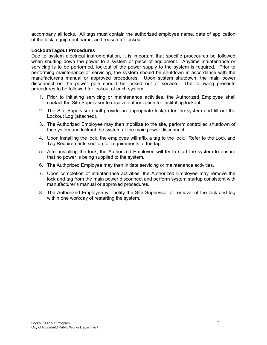accompany all locks. All tags must contain the authorized employee name, date of application of the lock, equipment name, and reason for lockout.

### **Lockout/Tagout Procedures**

Due to system electrical instrumentation, it is important that specific procedures be followed when shutting down the power to a system or piece of equipment. Anytime maintenance or servicing is to be performed, lockout of the power supply to the system is required. Prior to performing maintenance or servicing, the system should be shutdown in accordance with the manufacturer's manual or approved procedures. Upon system shutdown, the main power disconnect on the power pole should be locked out of service. The following presents procedures to be followed for lockout of each system:

- 1. Prior to initiating servicing or maintenance activities, the Authorized Employee shall contact the Site Supervisor to receive authorization for instituting lockout.
- 2. The Site Supervisor shall provide an appropriate lock(s) for the system and fill out the Lockout Log (attached).
- 3. The Authorized Employee may then mobilize to the site, perform controlled shutdown of the system and lockout the system at the main power disconnect.
- 4. Upon installing the lock, the employee will affix a tag to the lock. Refer to the Lock and Tag Requirements section for requirements of the tag.
- 5. After installing the lock, the Authorized Employee will try to start the system to ensure that no power is being supplied to the system.
- 6. The Authorized Employee may then initiate servicing or maintenance activities.
- 7. Upon completion of maintenance activities, the Authorized Employee may remove the lock and tag from the main power disconnect and perform system startup consistent with manufacturer's manual or approved procedures.
- 8. The Authorized Employee will notify the Site Supervisor of removal of the lock and tag within one workday of restarting the system.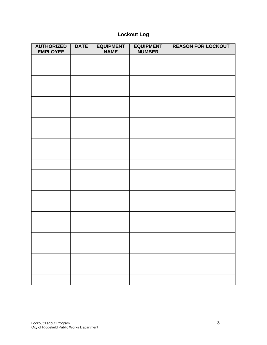# **Lockout Log**

| <b>AUTHORIZED</b><br><b>EMPLOYEE</b> | <b>DATE</b> | <b>EQUIPMENT</b><br><b>NAME</b> | <b>EQUIPMENT</b><br><b>NUMBER</b> | <b>REASON FOR LOCKOUT</b> |
|--------------------------------------|-------------|---------------------------------|-----------------------------------|---------------------------|
|                                      |             |                                 |                                   |                           |
|                                      |             |                                 |                                   |                           |
|                                      |             |                                 |                                   |                           |
|                                      |             |                                 |                                   |                           |
|                                      |             |                                 |                                   |                           |
|                                      |             |                                 |                                   |                           |
|                                      |             |                                 |                                   |                           |
|                                      |             |                                 |                                   |                           |
|                                      |             |                                 |                                   |                           |
|                                      |             |                                 |                                   |                           |
|                                      |             |                                 |                                   |                           |
|                                      |             |                                 |                                   |                           |
|                                      |             |                                 |                                   |                           |
|                                      |             |                                 |                                   |                           |
|                                      |             |                                 |                                   |                           |
|                                      |             |                                 |                                   |                           |
|                                      |             |                                 |                                   |                           |
|                                      |             |                                 |                                   |                           |
|                                      |             |                                 |                                   |                           |
|                                      |             |                                 |                                   |                           |
|                                      |             |                                 |                                   |                           |
|                                      |             |                                 |                                   |                           |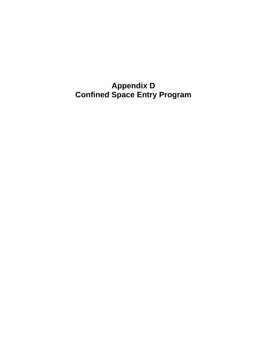**Appendix D Confined Space Entry Program**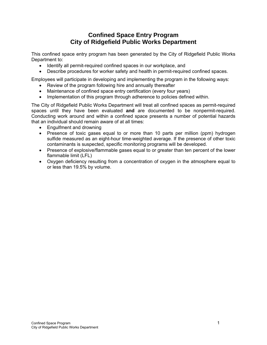# **Confined Space Entry Program City of Ridgefield Public Works Department**

This confined space entry program has been generated by the City of Ridgefield Public Works Department to:

- Identify all permit-required confined spaces in our workplace, and
- Describe procedures for worker safety and health in permit-required confined spaces.

Employees will participate in developing and implementing the program in the following ways:

- Review of the program following hire and annually thereafter
- Maintenance of confined space entry certification (every four years)
- Implementation of this program through adherence to policies defined within.

The City of Ridgefield Public Works Department will treat all confined spaces as permit-required spaces until they have been evaluated **and** are documented to be nonpermit-required. Conducting work around and within a confined space presents a number of potential hazards that an individual should remain aware of at all times:

- Engulfment and drowning
- Presence of toxic gases equal to or more than 10 parts per million (ppm) hydrogen sulfide measured as an eight-hour time-weighted average. If the presence of other toxic contaminants is suspected, specific monitoring programs will be developed.
- Presence of explosive/flammable gases equal to or greater than ten percent of the lower flammable limit (LFL)
- Oxygen deficiency resulting from a concentration of oxygen in the atmosphere equal to or less than 19.5% by volume.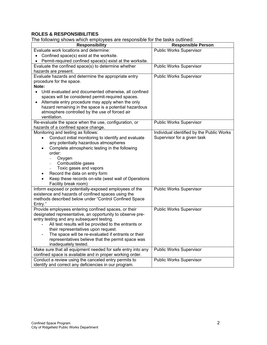### **ROLES & RESPONSIBILITIES**

The following shows which employees are responsible for the tasks outlined:

| Frie iollowing shows which employees are responsible for the tasks outlined. |                                           |
|------------------------------------------------------------------------------|-------------------------------------------|
| <b>Responsibility</b>                                                        | <b>Responsible Person</b>                 |
| Evaluate work locations and determine:                                       | <b>Public Works Supervisor</b>            |
| Confined space(s) exist at the worksite.                                     |                                           |
| Permit-required confined space(s) exist at the worksite.<br>$\bullet$        |                                           |
| Evaluate the confined space(s) to determine whether                          | <b>Public Works Supervisor</b>            |
| hazards are present.                                                         |                                           |
| Evaluate hazards and determine the appropriate entry                         | <b>Public Works Supervisor</b>            |
| procedure for the space.                                                     |                                           |
| Note:                                                                        |                                           |
| Until evaluated and documented otherwise, all confined<br>$\bullet$          |                                           |
| spaces will be considered permit-required spaces.                            |                                           |
| Alternate entry procedure may apply when the only<br>$\bullet$               |                                           |
| hazard remaining in the space is a potential hazardous                       |                                           |
| atmosphere controlled by the use of forced air                               |                                           |
| ventilation.                                                                 |                                           |
| Re-evaluate the space when the use, configuration, or                        | <b>Public Works Supervisor</b>            |
| hazards of a confined space change.                                          |                                           |
| Monitoring and testing as follows:                                           | Individual identified by the Public Works |
| Conduct initial monitoring to identify and evaluate<br>$\bullet$             | Supervisor for a given task               |
| any potentially hazardous atmospheres                                        |                                           |
| Complete atmospheric testing in the following                                |                                           |
| order:                                                                       |                                           |
| Oxygen<br>$\overline{\phantom{0}}$                                           |                                           |
| Combustible gases                                                            |                                           |
| Toxic gases and vapors                                                       |                                           |
| Record the data on entry form                                                |                                           |
| Keep these records on-site (west wall of Operations                          |                                           |
| Facility break room)                                                         |                                           |
| Inform exposed or potentially-exposed employees of the                       | <b>Public Works Supervisor</b>            |
| existence and hazards of confined spaces using the                           |                                           |
| methods described below under "Control Confined Space                        |                                           |
| Entry."                                                                      |                                           |
| Provide employees entering confined spaces, or their                         | <b>Public Works Supervisor</b>            |
| designated representative, an opportunity to observe pre-                    |                                           |
| entry testing and any subsequent testing.                                    |                                           |
| All test results will be provided to the entrants or                         |                                           |
| their representatives upon request.                                          |                                           |
| The space will be re-evaluated if entrants or their                          |                                           |
| representatives believe that the permit space was                            |                                           |
| inadequately tested.                                                         |                                           |
| Make sure that all equipment needed for safe entry into any                  | <b>Public Works Supervisor</b>            |
| confined space is available and in proper working order.                     |                                           |
| Conduct a review using the canceled entry permits to                         | <b>Public Works Supervisor</b>            |
| identify and correct any deficiencies in our program.                        |                                           |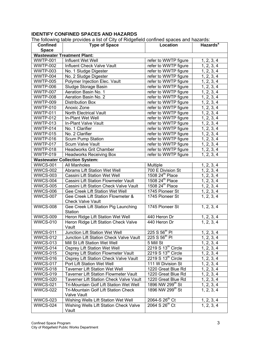### **IDENTIFY CONFINED SPACES AND HAZARDS**

The following table provides a list of City of Ridgefield confined spaces and hazards:

| <b>Confined</b> | <b>Type of Space</b>                                           | Location                       | Hazards <sup>a</sup>            |
|-----------------|----------------------------------------------------------------|--------------------------------|---------------------------------|
| <b>Space</b>    |                                                                |                                |                                 |
|                 | <b>Wastewater Treatment Plant:</b>                             |                                |                                 |
| <b>WWTP-001</b> | Influent Wet Well                                              | refer to WWTP figure           | 1, 2, 3, 4                      |
| <b>WWTP-002</b> | Influent Check Valve Vault                                     | refer to WWTP figure           | 1, 2, 3, 4                      |
| <b>WWTP-003</b> | No. 1 Sludge Digester                                          | refer to WWTP figure           | 1, 2, 3, 4                      |
| WWTP-004        | No. 2 Sludge Digester                                          | refer to WWTP figure           | 1, 2, 3, 4                      |
| <b>WWTP-005</b> | Polymer Injection Elec. Vault                                  | refer to WWTP figure           | 1, 2, 3, 4                      |
| <b>WWTP-006</b> | Sludge Storage Basin                                           | refer to WWTP figure           | 1, 2, 3, 4                      |
| WWTP-007        | Aeration Basin No. 1                                           | refer to WWTP figure           | 1, 2, 3, 4                      |
| <b>WWTP-008</b> | Aeration Basin No. 2                                           | refer to WWTP figure           | 1, 2, 3, 4                      |
| <b>WWTP-009</b> | <b>Distribution Box</b>                                        | refer to WWTP figure           | 1, 2, 3, 4                      |
| <b>WWTP-010</b> | Anoxic Zone                                                    | refer to WWTP figure           | 1, 2, 3, 4                      |
| WWTP-011        | <b>North Electrical Vault</b>                                  | refer to WWTP figure           | 1, 2, 3, 4                      |
| <b>WWTP-012</b> | In-Plant Wet Well                                              | refer to WWTP figure           | 1, 2, 3, 4                      |
| WWTP-013        | In-Plant Valve Vault                                           | refer to WWTP figure           | 1, 2, 3, 4                      |
| WWTP-014        | No. 1 Clarifier                                                | refer to WWTP figure           | 1, 2, 3, 4                      |
| <b>WWTP-015</b> | No. 2 Clarifier                                                | refer to WWTP figure           | 1, 2, 3, 4                      |
| <b>WWTP-016</b> | Scum Pump Station                                              | refer to WWTP figure           | 1, 2, 3, 4                      |
| WWTP-017        | <b>Scum Valve Vault</b>                                        | refer to WWTP figure           | 1, 2, 3, 4                      |
| <b>WWTP-018</b> | <b>Headworks Grit Chamber</b>                                  | refer to WWTP figure           | 1, 2, 3, 4                      |
| <b>WWTP-019</b> | <b>Headworks Receiving Box</b>                                 | refer to WWTP figure           | 1, 2, 3, 4                      |
|                 | <b>Wastewater Collection System:</b>                           |                                |                                 |
| <b>WWCS-001</b> | All Manholes                                                   | Multiple                       | 1, 2, 3, 4                      |
| <b>WWCS-002</b> | Abrams Lift Station Wet Well                                   | 700 E Division St              | 1, 2, 3, 4                      |
| <b>WWCS-003</b> | Cassini Lift Station Wet Well                                  | 1508 24 <sup>th</sup> Place    | 1, 2, 3, 4                      |
| <b>WWCS-004</b> | Cassini Lift Station Flowmeter Vault                           | 1508 24 <sup>th</sup> Place    | 1, 2, 3, 4                      |
| <b>WWCS-005</b> | Cassini Lift Station Check Valve Vault                         | 1508 24 <sup>th</sup> Place    | 1, 2, 3, 4                      |
| <b>WWCS-006</b> | Gee Creek Lift Station Wet Well                                | 1745 Pioneer St                | 1, 2, 3, 4                      |
| <b>WWCS-007</b> | Gee Creek Lift Station Flowmeter &<br><b>Check Valve Vault</b> | 1745 Pioneer St                | 1, 2, 3, 4                      |
| <b>WWCS-008</b> | Gee Creek Lift Station Pig Launching<br>Station                | 1745 Pioneer St                | 1, 2, 3, 4                      |
| <b>WWCS-009</b> | Heron Ridge Lift Station Wet Well                              | 440 Heron Dr                   |                                 |
| <b>WWCS-010</b> | Heron Ridge Lift Station Check Valve                           | 440 Heron Dr                   | $\frac{1, 2, 3, 4}{1, 2, 3, 4}$ |
|                 | Vault                                                          |                                |                                 |
| <b>WWCS-011</b> | Junction Lift Station Wet Well                                 | $225 S 56^{\text{th}} P1$      | 1, 2, 3, 4                      |
| <b>WWCS-012</b> | Junction Lift Station Check Valve Vault                        | $225 S 56^{\text{th}} P1$      | 1, 2, 3, 4                      |
| <b>WWCS-013</b> | Mill St Lift Station Wet Well                                  | 5 Mill St                      | 1, 2, 3, 4                      |
| <b>WWCS-014</b> | Osprey Lift Station Wet Well                                   | 2219 S 13 <sup>th</sup> Circle | 1, 2, 3, 4                      |
| <b>WWCS-015</b> | Osprey Lift Station Flowmeter Vault                            | 2219 S 13 <sup>th</sup> Circle | 1, 2, 3, 4                      |
| <b>WWCS-016</b> | Osprey Lift Station Check Valve Vault                          | $2219 S 13th$ Circle           | 1, 2, 3, 4                      |
| <b>WWCS-017</b> | Port Lift Station Wet Well                                     | 111 W Division St              | 1, 2, 3, 4                      |
| <b>WWCS-018</b> | <b>Taverner Lift Station Wet Well</b>                          | 1220 Great Blue Rd             | 1, 2, 3, 4                      |
| <b>WWCS-019</b> | <b>Taverner Lift Station Flowmeter Vault</b>                   | 1220 Great Blue Rd             | 1, 2, 3, 4                      |
| <b>WWCS-020</b> | <b>Taverner Lift Station Check Valve Vault</b>                 | 1220 Great Blue Rd             | 1, 2, 3, 4                      |
| <b>WWCS-021</b> | Tri-Mountain Golf Lift Station Wet Well                        | 1896 NW 299th St               | 1, 2, 3, 4                      |
| <b>WWCS-022</b> | Tri-Mountain Golf Lift Station Check<br>Valve Vault            | 1896 NW 299th St               | 1, 2, 3, 4                      |
| <b>WWCS-023</b> | Wishing Wells Lift Station Wet Well                            | $2064-S 26^{\text{th}}$ Ct     | 1, 2, 3, 4                      |
| <b>WWCS-024</b> | Wishing Wells Lift Station Check Valve                         | $2064$ S $26^{\text{th}}$ Ct   | 1, 2, 3, 4                      |
|                 | Vault                                                          |                                |                                 |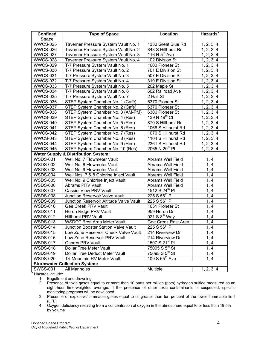| <b>Confined</b>       | <b>Type of Space</b>                           | Location                   | <b>Hazards</b> <sup>a</sup> |
|-----------------------|------------------------------------------------|----------------------------|-----------------------------|
| <b>Space</b>          |                                                |                            |                             |
| $\overline{W}WCS-025$ | Taverner Pressure System Vault No. 1           | 1330 Great Blue Rd         | 1, 2, 3, 4                  |
| <b>WWCS-026</b>       | Taverner Pressure System Vault No. 2           | 843 S Hillhurst Rd         | 1, 2, 3, 4                  |
| <b>WWCS-027</b>       | Taverner Pressure System Vault No. 3           | 116 N $5^{\text{th}}$ Ave  | 1, 2, 3, 4                  |
| <b>WWCS-028</b>       | Taverner Pressure System Vault No. 4           | 102 Division St            | 1, 2, 3, 4                  |
| <b>WWCS-029</b>       | T-7 Pressure System Vault No. 1                | 1600 Pioneer St            | 1, 2, 3, 4                  |
| <b>WWCS-030</b>       | T-7 Pressure System Vault No. 2                | 701 E Division St          | 1, 2, 3, 4                  |
| <b>WWCS-031</b>       | T-7 Pressure System Vault No. 3                | 507 E Division St          | 1, 2, 3, 4                  |
| <b>WWCS-032</b>       | T-7 Pressure System Vault No. 4                | 310 E Division St          | 1, 2, 3, 4                  |
| <b>WWCS-033</b>       | T-7 Pressure System Vault No. 5                | 202 Maple St               | 1, 2, 3, 4                  |
| <b>WWCS-034</b>       | T-7 Pressure System Vault No. 6                | 602 Railroad Ave           | 1, 2, 3, 4                  |
| <b>WWCS-035</b>       | T-7 Pressure System Vault No. 7                | 2 Hall St                  | 1, 2, 3, 4                  |
| <b>WWCS-036</b>       | STEP System Chamber No. 1 (Café)               | 6370 Pioneer St            | 1, 2, 3, 4                  |
| <b>WWCS-037</b>       | STEP System Chamber No. 2 (Café)               | 6370 Pioneer St            | 1, 2, 3, 4                  |
| <b>WWCS-038</b>       | STEP System Chamber No. 3 (AM-PM)              | 6300 Pioneer St            | 1, 2, 3, 4                  |
| <b>WWCS-039</b>       | STEP System Chamber No. 4 (Res)                | 139 N 19 <sup>th</sup> Ct  | 1, 2, 3, 4                  |
| <b>WWCS-040</b>       | STEP System Chamber No. 5 (Res)                | 870 S Hillhurst Rd         | 1, 2, 3, 4                  |
| <b>WWCS-041</b>       | STEP System Chamber No. 6 (Res)                | 1068 S Hillhurst Rd        | 1, 2, 3, 4                  |
| <b>WWCS-042</b>       | STEP System Chamber No. 7 (Res)                | 1070 S Hillhurst Rd        | 1, 2, 3, 4                  |
| <b>WWCS-043</b>       | STEP System Chamber No. 8 (Res)                | 1104 S Hillhurst Rd        | 1, 2, 3, 4                  |
| WWCS-044              | STEP System Chamber No. 9 (Res)                | 2361 S Hillhurst Rd        | 1, 2, 3, 4                  |
| <b>WWCS-045</b>       | STEP System Chamber No. 10 (Res)               | 2065 N 20 <sup>th</sup> PI | 1, 2, 3, 4                  |
|                       | <b>Water Supply &amp; Distribution System:</b> |                            |                             |
| <b>WSDS-001</b>       | Well No. 7 Flowmeter Vault                     | Abrams Well Field          | 1, 4                        |
| <b>WSDS-002</b>       | Well No. 8 Flowmeter Vault                     | Abrams Well Field          | 1, 4                        |
| <b>WSDS-003</b>       | Well No. 9 Flowmeter Vault                     | Abrams Well Field          | 1, 4                        |
| <b>WSDS-004</b>       | Well Nos. 7 & 8 Chlorine Inject Vault          | Abrams Well Field          | 1, 4                        |
| <b>WSDS-005</b>       | Well No. 9 Chlorine Inject Vault               | Abrams Well Field          | 1, 4                        |
| <b>WSDS-006</b>       | Abrams PRV Vault                               | Abrams Well Field          | 1, 4                        |
| <b>WSDS-007</b>       | Cassini View PRV Vault                         | $1512 S 24^{\text{th}} P1$ | 1, 4                        |
| <b>WSDS-008</b>       | Junction Reservoir Valve Vault                 | $225 S 56^{th} P1$         | 1, 4                        |
| <b>WSDS-009</b>       | Junction Reservoir Altitude Valve Vault        | $225 S 56^{\text{th}} P1$  | 1, 4                        |
| <b>WSDS-010</b>       | Gee Creek PRV Vault                            | 1651 Pioneer St            | 1, 4                        |
| <b>WSDS-011</b>       | Heron Ridge PRV Vault                          | 959 Heron Dr               | 1, 4                        |
| <b>WSDS-012</b>       | <b>Hillhurst PRV Vault</b>                     | 921 S 8 <sup>th</sup> Way  | 1, 4                        |
| <b>WSDS-013</b>       | <b>WSDOT Rest Area Meter Vault</b>             | Gee Creek Rest Area        | 1, 4                        |
| WSDS-014              | Junction Booster Station Valve Vault           | 225 S 56" PI               | 1, 4                        |
| <b>WSDS-015</b>       | Low Zone Reservoir Check Valve Vault           | 214 Riverview Dr           | 1, 4                        |
| <b>WSDS-016</b>       | Low Zone Reservoir PRV Vault                   | 214 Riverview Dr           | 1, 4                        |
| <b>WSDS-017</b>       | <b>Osprey PRV Vault</b>                        | 1507 S 21 <sup>st</sup> PI | 1, 4                        |
| <b>WSDS-018</b>       | <b>Dollar Tree Meter Vault</b>                 | 75095 S 5 <sup>th</sup> St | 1, 4                        |
| <b>WSDS-019</b>       | Dollar Tree Deduct Meter Vault                 | 75095 S 5 <sup>th</sup> St | 1, 4                        |
| <b>WSDS-020</b>       | Tri-Mountain RV Meter Vault                    | $109 S 65^{\text{th}}$ Ave | 1, 4                        |
|                       | <b>Stormwater Collection System:</b>           |                            |                             |
| <b>SWCS-001</b>       | All Manholes                                   | Multiple                   | 1, 2, 3, 4                  |

<sup>a</sup> Hazards include:

1. Engulfment and drowning

2. Presence of toxic gases equal to or more than 10 parts per million (ppm) hydrogen sulfide measured as an eight-hour time-weighted average. If the presence of other toxic contaminants is suspected, specific monitoring programs will be developed.

3. Presence of explosive/flammable gases equal to or greater than ten percent of the lower flammable limit (LFL)

4. Oxygen deficiency resulting from a concentration of oxygen in the atmosphere equal to or less than 19.5% by volume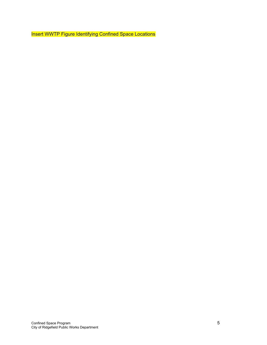Insert WWTP Figure Identifying Confined Space Locations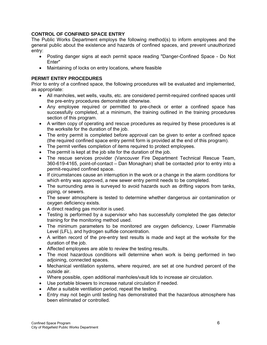### **CONTROL OF CONFINED SPACE ENTRY**

The Public Works Department employs the following method(s) to inform employees and the general public about the existence and hazards of confined spaces, and prevent unauthorized entry:

- Posting danger signs at each permit space reading "Danger-Confined Space Do Not Enter"
- Maintaining of locks on entry locations, where feasible

### **PERMIT ENTRY PROCEDURES**

Prior to entry of a confined space, the following procedures will be evaluated and implemented, as appropriate:

- All manholes, wet wells, vaults, etc. are considered permit-required confined spaces until the pre-entry procedures demonstrate otherwise.
- Any employee required or permitted to pre-check or enter a confined space has successfully completed, at a minimum, the training outlined in the training procedures section of this program.
- A written copy of operating and rescue procedures as required by these procedures is at the worksite for the duration of the job.
- The entry permit is completed before approval can be given to enter a confined space (the required confined space entry permit form is provided at the end of this program).
- The permit verifies completion of items required to protect employees.
- The permit is kept at the job site for the duration of the job.
- The rescue services provider (Vancouver Fire Department Technical Rescue Team, 360-619-4165, point-of-contact – Dan Monaghan) shall be contacted prior to entry into a permit-required confined space.
- If circumstances cause an interruption in the work or a change in the alarm conditions for which entry was approved, a new sewer entry permit needs to be completed.
- The surrounding area is surveyed to avoid hazards such as drifting vapors from tanks, piping, or sewers.
- The sewer atmosphere is tested to determine whether dangerous air contamination or oxygen deficiency exists.
- A direct reading gas monitor is used.
- Testing is performed by a supervisor who has successfully completed the gas detector training for the monitoring method used.
- The minimum parameters to be monitored are oxygen deficiency, Lower Flammable Level (LFL), and hydrogen sulfide concentration.
- A written record of the pre-entry test results is made and kept at the worksite for the duration of the job.
- Affected employees are able to review the testing results.
- The most hazardous conditions will determine when work is being performed in two adjoining, connected spaces.
- Mechanical ventilation systems, where required, are set at one hundred percent of the outside air.
- Where possible, open additional manholes/vault lids to increase air circulation.
- Use portable blowers to increase natural circulation if needed.
- After a suitable ventilation period, repeat the testing.
- Entry may not begin until testing has demonstrated that the hazardous atmosphere has been eliminated or controlled.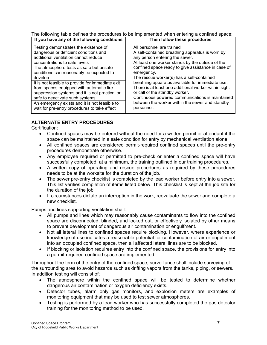The following table defines the procedures to be implemented when entering a confined space:

| If you have any of the following conditions                                                                                                                                                                                                                                                                                                                                                                                                                                                                                                     | Then follow these procedures                                                                                                                                                                                                                                                                                                                                                                                                                                                                                                                                      |
|-------------------------------------------------------------------------------------------------------------------------------------------------------------------------------------------------------------------------------------------------------------------------------------------------------------------------------------------------------------------------------------------------------------------------------------------------------------------------------------------------------------------------------------------------|-------------------------------------------------------------------------------------------------------------------------------------------------------------------------------------------------------------------------------------------------------------------------------------------------------------------------------------------------------------------------------------------------------------------------------------------------------------------------------------------------------------------------------------------------------------------|
| Testing demonstrates the existence of<br>dangerous or deficient conditions and<br>additional ventilation cannot reduce<br>concentrations to safe levels<br>The atmosphere tests as safe but unsafe<br>conditions can reasonably be expected to<br>develop<br>It is not feasible to provide for immediate exit<br>from spaces equipped with automatic fire<br>suppression systems and it is not practical or<br>safe to deactivate such systems<br>An emergency exists and it is not feasible to<br>wait for pre-entry procedures to take effect | - All personnel are trained<br>- A self-contained breathing apparatus is worn by<br>any person entering the sewer.<br>- At least one worker stands by the outside of the<br>confined space ready to give assistance in case of<br>emergency.<br>- The rescue worker(s) has a self-contained<br>breathing apparatus available for immediate use.<br>- There is at least one additional worker within sight<br>or call of the standby worker.<br>- Continuous powered communications is maintained<br>between the worker within the sewer and standby<br>personnel. |
|                                                                                                                                                                                                                                                                                                                                                                                                                                                                                                                                                 |                                                                                                                                                                                                                                                                                                                                                                                                                                                                                                                                                                   |

### **ALTERNATE ENTRY PROCEDURES**

Certification:

- Confined spaces may be entered without the need for a written permit or attendant if the space can be maintained in a safe condition for entry by mechanical ventilation alone.
- All confined spaces are considered permit-required confined spaces until the pre-entry procedures demonstrate otherwise.
- Any employee required or permitted to pre-check or enter a confined space will have successfully completed, at a minimum, the training outlined in our training procedures.
- A written copy of operating and rescue procedures as required by these procedures needs to be at the worksite for the duration of the job.
- The sewer pre-entry checklist is completed by the lead worker before entry into a sewer. This list verifies completion of items listed below. This checklist is kept at the job site for the duration of the job.
- If circumstances dictate an interruption in the work, reevaluate the sewer and complete a new checklist.

Pumps and lines supporting ventilation shall:

- All pumps and lines which may reasonably cause contaminants to flow into the confined space are disconnected, blinded, and locked out, or effectively isolated by other means to prevent development of dangerous air contamination or engulfment.
- Not all lateral lines to confined spaces require blocking. However, where experience or knowledge of use indicates a reasonable potential for contamination of air or engulfment into an occupied confined space, then all affected lateral lines are to be blocked.
- If blocking or isolation requires entry into the confined space, the provisions for entry into a permit-required confined space are implemented.

Throughout the term of the entry of the confined space, surveillance shall include surveying of the surrounding area to avoid hazards such as drifting vapors from the tanks, piping, or sewers. In addition testing will consist of:

- The atmosphere within the confined space will be tested to determine whether dangerous air contamination or oxygen deficiency exists.
- Detector tubes, alarm only gas monitors, and explosion meters are examples of monitoring equipment that may be used to test sewer atmospheres.
- Testing is performed by a lead worker who has successfully completed the gas detector training for the monitoring method to be used.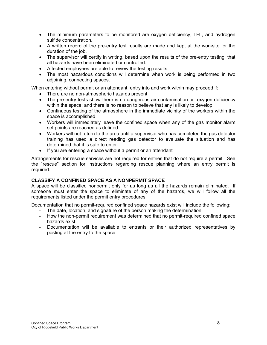- The minimum parameters to be monitored are oxygen deficiency, LFL, and hydrogen sulfide concentration.
- A written record of the pre-entry test results are made and kept at the worksite for the duration of the job.
- The supervisor will certify in writing, based upon the results of the pre-entry testing, that all hazards have been eliminated or controlled.
- Affected employees are able to review the testing results.
- The most hazardous conditions will determine when work is being performed in two adjoining, connecting spaces.

When entering without permit or an attendant, entry into and work within may proceed if:

- There are no non-atmospheric hazards present
- The pre-entry tests show there is no dangerous air contamination or oxygen deficiency within the space; and there is no reason to believe that any is likely to develop
- Continuous testing of the atmosphere in the immediate vicinity of the workers within the space is accomplished
- Workers will immediately leave the confined space when any of the gas monitor alarm set points are reached as defined
- Workers will not return to the area until a supervisor who has completed the gas detector training has used a direct reading gas detector to evaluate the situation and has determined that it is safe to enter.
- If you are entering a space without a permit or an attendant

Arrangements for rescue services are not required for entries that do not require a permit. See the "rescue" section for instructions regarding rescue planning where an entry permit is required.

### **CLASSIFY A CONFINED SPACE AS A NONPERMIT SPACE**

A space will be classified nonpermit only for as long as all the hazards remain eliminated. If someone must enter the space to eliminate of any of the hazards, we will follow all the requirements listed under the permit entry procedures.

Documentation that no permit-required confined space hazards exist will include the following:

- The date, location, and signature of the person making the determination.
- How the non-permit requirement was determined that no permit-required confined space hazards exist.
- Documentation will be available to entrants or their authorized representatives by posting at the entry to the space.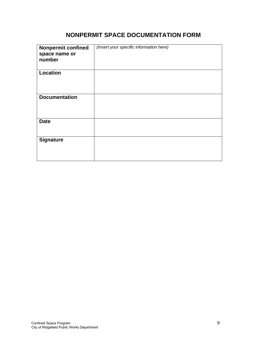# **NONPERMIT SPACE DOCUMENTATION FORM**

| <b>Nonpermit confined</b><br>space name or<br>number | (Insert your specific information here) |
|------------------------------------------------------|-----------------------------------------|
| <b>Location</b>                                      |                                         |
| <b>Documentation</b>                                 |                                         |
| <b>Date</b>                                          |                                         |
| <b>Signature</b>                                     |                                         |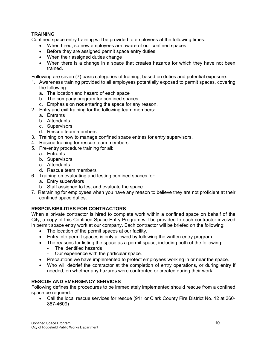### **TRAINING**

Confined space entry training will be provided to employees at the following times:

- When hired, so new employees are aware of our confined spaces
- Before they are assigned permit space entry duties
- When their assigned duties change
- When there is a change in a space that creates hazards for which they have not been trained.

Following are seven (7) basic categories of training, based on duties and potential exposure:

- 1. Awareness training provided to all employees potentially exposed to permit spaces, covering the following:
	- a. The location and hazard of each space
	- b. The company program for confined spaces
	- c. Emphasis on **not** entering the space for any reason.
- 2. Entry and exit training for the following team members:
	- a. Entrants
	- b. Attendants
	- c. Supervisors
	- d. Rescue team members
- 3. Training on how to manage confined space entries for entry supervisors.
- 4. Rescue training for rescue team members.
- 5. Pre-entry procedure training for all:
	- a. Entrants
	- b. Supervisors
	- c. Attendants
	- d. Rescue team members
- 6. Training on evaluating and testing confined spaces for:
	- a. Entry supervisors
	- b. Staff assigned to test and evaluate the space
- 7. Retraining for employees when you have any reason to believe they are not proficient at their confined space duties.

### **RESPONSIBILITIES FOR CONTRACTORS**

When a private contractor is hired to complete work within a confined space on behalf of the City, a copy of this Confined Space Entry Program will be provided to each contractor involved in permit space entry work at our company. Each contractor will be briefed on the following:

- The location of the permit spaces at our facility.
- Entry into permit spaces is only allowed by following the written entry program.
- The reasons for listing the space as a permit space, including both of the following:
	- The identified hazards
	- Our experience with the particular space.
- Precautions we have implemented to protect employees working in or near the space.
- Who will debrief the contractor at the completion of entry operations, or during entry if needed, on whether any hazards were confronted or created during their work.

### **RESCUE AND EMERGENCY SERVICES**

Following defines the procedures to be immediately implemented should rescue from a confined space be required:

• Call the local rescue services for rescue (911 or Clark County Fire District No. 12 at 360- 887-4609)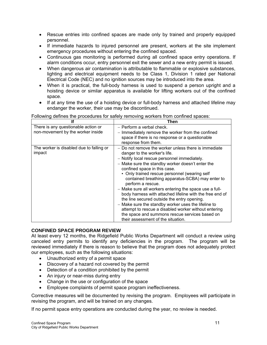- Rescue entries into confined spaces are made only by trained and properly equipped personnel.
- If immediate hazards to injured personnel are present, workers at the site implement emergency procedures without entering the confined spaced.
- Continuous gas monitoring is performed during all confined space entry operations. If alarm conditions occur, entry personnel exit the sewer and a new entry permit is issued.
- When dangerous air contamination is attributable to flammable or explosive substances, lighting and electrical equipment needs to be Class 1, Division 1 rated per National Electrical Code (NEC) and no ignition sources may be introduced into the area.
- When it is practical, the full-body harness is used to suspend a person upright and a hoisting device or similar apparatus is available for lifting workers out of the confined space.
- If at any time the use of a hoisting device or full-body harness and attached lifeline may endanger the worker, their use may be discontinued.

Following defines the procedures for safely removing workers from confined spaces:

| lf                                                                       | Then                                                                                                                                                                                                                                                                                                                                                                                                                                                                                                                                                                                                                                                                                                                           |
|--------------------------------------------------------------------------|--------------------------------------------------------------------------------------------------------------------------------------------------------------------------------------------------------------------------------------------------------------------------------------------------------------------------------------------------------------------------------------------------------------------------------------------------------------------------------------------------------------------------------------------------------------------------------------------------------------------------------------------------------------------------------------------------------------------------------|
| There is any questionable action or<br>non-movement by the worker inside | - Perform a verbal check.<br>- Immediately remove the worker from the confined<br>space if there is no response or a questionable<br>response from them.                                                                                                                                                                                                                                                                                                                                                                                                                                                                                                                                                                       |
| The worker is disabled due to falling or<br>impact                       | - Do not remove the worker unless there is immediate<br>danger to the worker's life.<br>- Notify local rescue personnel immediately.<br>- Make sure the standby worker doesn't enter the<br>confined space in this case.<br>• Only trained rescue personnel (wearing self<br>contained breathing apparatus-SCBA) may enter to<br>perform a rescue.<br>- Make sure all workers entering the space use a full-<br>body harness with attached lifeline with the free end of<br>the line secured outside the entry opening.<br>- Make sure the standby worker uses the lifeline to<br>attempt to rescue a disabled worker without entering<br>the space and summons rescue services based on<br>their assessment of the situation. |

### **CONFINED SPACE PROGRAM REVIEW**

At least every 12 months, the Ridgefield Public Works Department will conduct a review using canceled entry permits to identify any deficiencies in the program. The program will be reviewed immediately if there is reason to believe that the program does not adequately protect our employees, such as the following situations:

- Unauthorized entry of a permit space
- Discovery of a hazard not covered by the permit
- Detection of a condition prohibited by the permit
- An injury or near-miss during entry
- Change in the use or configuration of the space
- Employee complaints of permit space program ineffectiveness.

Corrective measures will be documented by revising the program. Employees will participate in revising the program, and will be trained on any changes.

If no permit space entry operations are conducted during the year, no review is needed.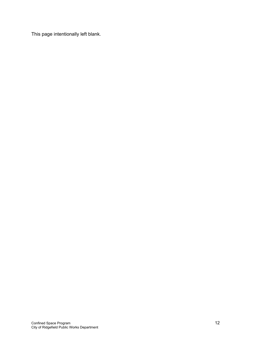This page intentionally left blank.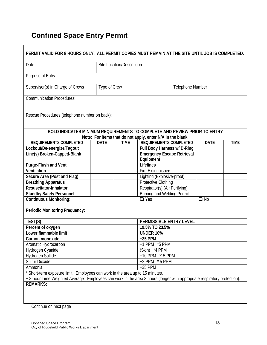# **Confined Space Entry Permit**

| Date:                                                                                                                    |                | Site Location/Description: |                                                                                             |                  |             |  |
|--------------------------------------------------------------------------------------------------------------------------|----------------|----------------------------|---------------------------------------------------------------------------------------------|------------------|-------------|--|
| Purpose of Entry:                                                                                                        |                |                            |                                                                                             |                  |             |  |
| Supervisor(s) in Charge of Crews                                                                                         |                | Type of Crew               |                                                                                             | Telephone Number |             |  |
|                                                                                                                          |                |                            |                                                                                             |                  |             |  |
| <b>Communication Procedures:</b>                                                                                         |                |                            |                                                                                             |                  |             |  |
|                                                                                                                          |                |                            |                                                                                             |                  |             |  |
| Rescue Procedures (telephone number on back):                                                                            |                |                            |                                                                                             |                  |             |  |
|                                                                                                                          |                |                            |                                                                                             |                  |             |  |
|                                                                                                                          |                |                            |                                                                                             |                  |             |  |
|                                                                                                                          |                |                            | BOLD INDICATES MINIMUM REQUIREMENTS TO COMPLETE AND REVIEW PRIOR TO ENTRY                   |                  |             |  |
| <b>REQUIREMENTS COMPLETED</b>                                                                                            | <b>DATE</b>    | <b>TIME</b>                | Note: For items that do not apply, enter N/A in the blank.<br><b>REQUIREMENTS COMPLETED</b> | <b>DATE</b>      | <b>TIME</b> |  |
| Lockout/De-energize/Tagout                                                                                               |                |                            | Full Body Harness w/ D-Ring                                                                 |                  |             |  |
| Line(s) Broken-Capped-Blank                                                                                              |                |                            | <b>Emergency Escape Retrieval</b>                                                           |                  |             |  |
|                                                                                                                          |                |                            | Equipment                                                                                   |                  |             |  |
| Purge-Flush and Vent                                                                                                     |                |                            | Lifelines                                                                                   |                  |             |  |
| Ventilation                                                                                                              |                |                            | <b>Fire Extinguishers</b>                                                                   |                  |             |  |
| Secure Area (Post and Flag)                                                                                              |                |                            | Lighting (Explosive-proof)                                                                  |                  |             |  |
| <b>Breathing Apparatus</b>                                                                                               |                |                            | <b>Protective Clothing</b>                                                                  |                  |             |  |
| Resuscitator-Inhalator                                                                                                   |                |                            | Respirator(s) (Air Purifying)                                                               |                  |             |  |
| <b>Standby Safety Personnel</b>                                                                                          |                |                            | Burning and Welding Permit                                                                  |                  |             |  |
| <b>Continuous Monitoring:</b>                                                                                            |                |                            | $\Box$ Yes                                                                                  | $\square$ No     |             |  |
|                                                                                                                          |                |                            |                                                                                             |                  |             |  |
| <b>Periodic Monitoring Frequency:</b>                                                                                    |                |                            |                                                                                             |                  |             |  |
| TEST(S)                                                                                                                  |                |                            | PERMISSIBLE ENTRY LEVEL                                                                     |                  |             |  |
| Percent of oxygen                                                                                                        | 19.5% TO 23.5% |                            |                                                                                             |                  |             |  |
| Lower flammable limit                                                                                                    |                |                            | <b>UNDER 10%</b>                                                                            |                  |             |  |
| Carbon monoxide                                                                                                          |                | +35 PPM                    |                                                                                             |                  |             |  |
| Aromatic Hydrocarbon                                                                                                     |                |                            | +1 PPM *5 PPM                                                                               |                  |             |  |
| Hydrogen Cyanide                                                                                                         |                |                            | *4 PPM<br>(Skin)                                                                            |                  |             |  |
| Hydrogen Sulfide                                                                                                         |                |                            | +10 PPM *15 PPM                                                                             |                  |             |  |
| Sulfur Dioxide                                                                                                           |                |                            | $+2$ PPM<br>$*$ 5 PPM                                                                       |                  |             |  |
| Ammonia                                                                                                                  |                |                            | +35 PPM                                                                                     |                  |             |  |
| * Short-term exposure limit: Employees can work in the area up to 15 minutes.                                            |                |                            |                                                                                             |                  |             |  |
| + 8-hour Time Weighted Average: Employees can work in the area 8 hours (longer with appropriate respiratory protection). |                |                            |                                                                                             |                  |             |  |

Continue on next page